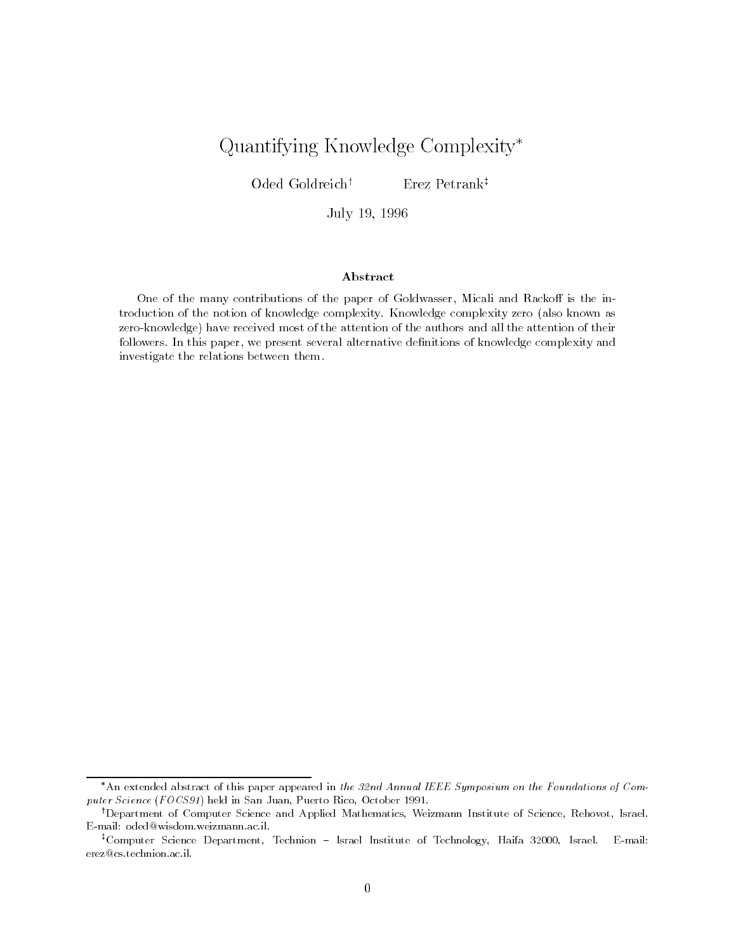# Quantifying Knowledge Complexity

 $O$ ded Goldreich<sup>†</sup> Erez Petrank<sup>‡</sup>

July -

### Abstract

One of the many contributions of the paper of Goldwasser, Micali and Rackoff is the introduction of the notion of knowledge complexity. Knowledge complexity zero (also known as zero-knowledge have received most of the attention of the authors and all the attention of theirfollowers. In this paper, we present several alternative definitions of knowledge complexity and investigate the relations between them

<sup>\*</sup>An extended abstract of this paper appeared in the 32nd Annual IEEE Symposium on the Foundations of Computer straits in San Juan-African and san Juan-African San Juan-African Straits and the San Juan Juan Juan Juan

<sup>&#</sup>x27;Department of Computer Science and Applied Mathematics, Weizmann Institute of Science, Kehovot, Israel. . E-mail: oded@wisdom.weizmann.ac.il.

<sup>&</sup>quot;Computer Science Department, Technion – Israel Institute of Technology, Haifa 32000, Israel. - E-mail: erez@cs.technion.ac.il.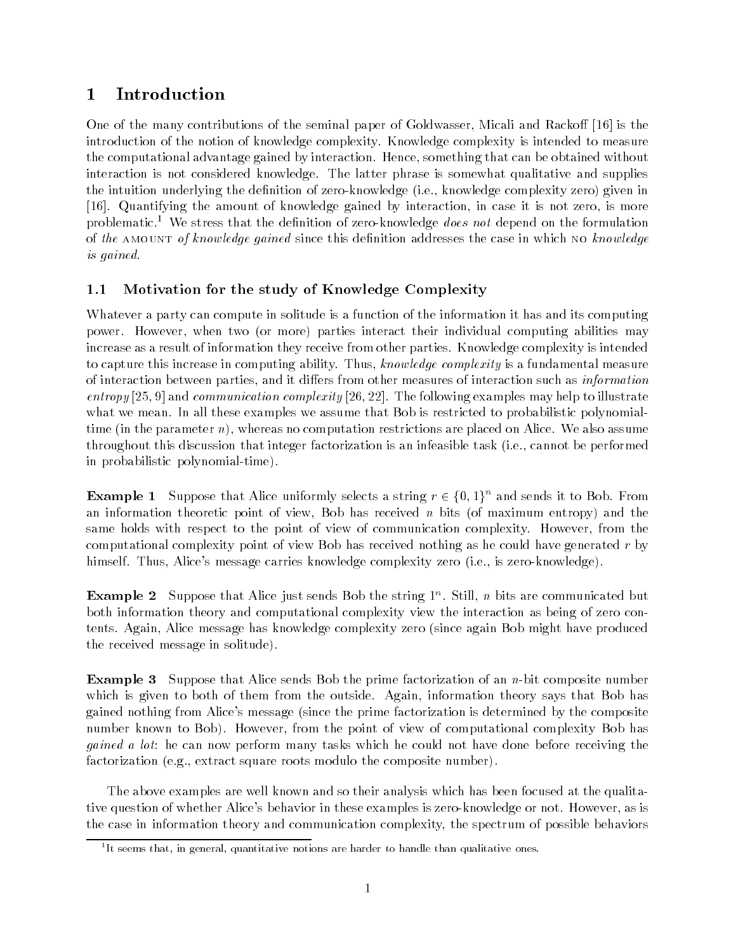# Introduction

One of the many contributions of the seminal paper of Goldwasser Micali and Racko- is the introduction of the notion of knowledge complexity Knowledge complexity is intended to measure the computational advantage gained by interaction. Hence, something that can be obtained without interaction is not considered knowledge. The latter phrase is somewhat qualitative and supplies the intuition underlying the denition of zero knowledge ie knowledge complexity zero given in [16]. Quantifying the amount of knowledge gained by interaction, in case it is not zero, is more problematic.<sup>1</sup> We stress that the definition of zero-knowledge *does not* depend on the formulation of the AMOUNT of knowledge gained since this definition addresses the case in which NO knowledge is gained

# 1.1 Motivation for the study of Knowledge Complexity

Whatever a party can compute in solitude is a function of the information it has and its computing power However when two or more parties interact their individual computing abilities may increase as a result of information they receive from other parties. Knowledge complexity is intended to capture this increase in computing ability. Thus, knowledge complexity is a fundamental measure ers from other decays and parties and it dimensional interaction such as interactions and information as infor entropy [25, 9] and communication complexity [26, 22]. The following examples may help to illustrate what we mean. In all these examples we assume that Bob is restricted to probabilistic polynomialtime in the parameter  $\alpha$  , whereas no computation restrictions are placed on the collection assumed assumed throughout this discussion that integer factorization is an infeasible task ie cannot be performed in probabilistic polynomial-time).

**Example 1** Suppose that Alice uniformly selects a string  $r \in \{0, 1\}$  and sends it to Bob. From and information theoretic point of view Bob has received n bits and theoretic point of maximum entropy and the same holds with respect to the point of view of communication complexity. However, from the computational complexity point of view Bob has received nothing as he could have generated  $r$  by himself Thus Alices message carries knowledge complexity zero ie is zero knowledge

**Example 2** Suppose that Alice just sends Dob the string 1 . Still, *n* bits are communicated but both information theory and computational complexity view the interaction as being of zero con tents Again Alice message has knowledge complexity zero since again Bob might have produced the received message in solitude

Example - Suppose that Alice sends Bob the prime factorization of an n bit composite number which is given to both of them from the outside. Again, information theory says that Bob has  $\mathcal{A}$ ices message message message message message message message message message message message message message message message message message message message message message message message message message message number known to Bob). However, from the point of view of computational complexity Bob has *gained a lot*: he can now perform many tasks which he could not have done before receiving the factorization eg extract square roots modulo the composite number

The above examples are well known and so their analysis which has been focused at the qualita tive question of whether Alice's behavior in these examples is zero-knowledge or not. However, as is the case in information theory and communication complexity the spectrum of possible behaviors

It seems that, in general, quantitative notions are harder to handle than qualitative ones.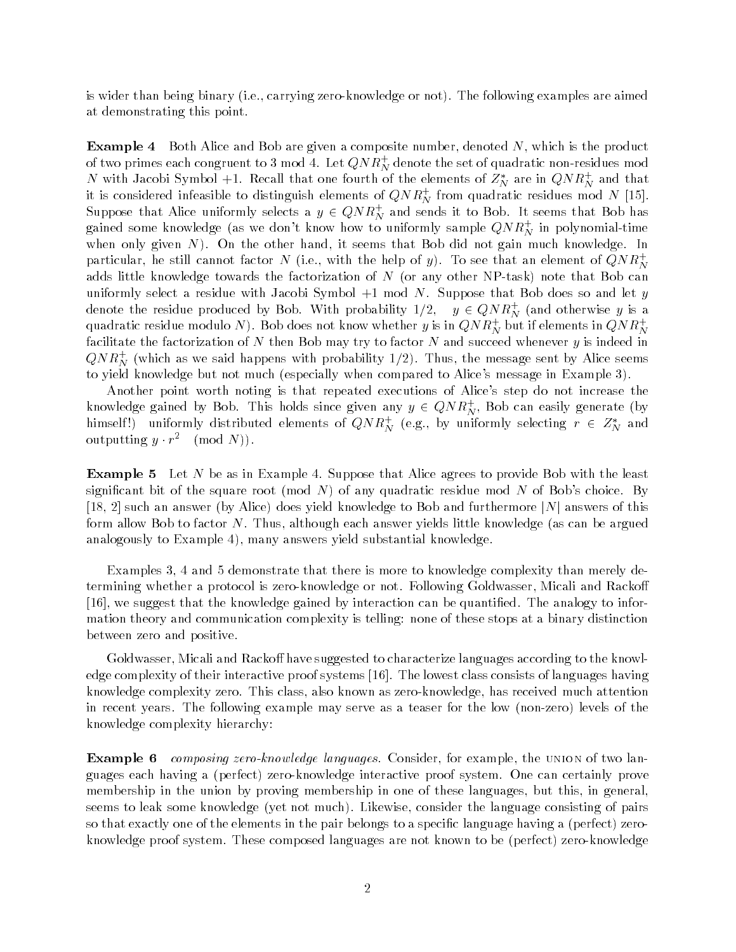is wider than being binary  $\mu$  , and  $\mu$  and  $\mu$  are all  $\mu$  are  $\mu$  are and  $\mu$  are all  $\mu$  and  $\mu$  are an  $\mu$ at demonstrating this point

**Example 4** Both Alice and Bob are given a composite number, denoted  $N$ , which is the product of two primes each congruent to 3 mod 4. Let  $Q/N\,K_N^{\phantom N}$  denote the set of quadratic non-residues mod  $N$  with Jacobi Symbol +1. Recall that one fourth of the elements of  $Z_N^{\ast}$  are in  $QNR_N^+$  and that it is considered infeasible to distinguish elements of  $Q N K_N^+$  from quadratic residues mod  $N$  [15].  $\,$ Suppose that Alice uniformly selects a  $y \in QN\,K_N^+$  and sends it to Bob. It seems that Bob has gained some knowledge (as we don't know how to uniformly sample  $Q/N\,K_{N}^{\times}$  in polynomial-time when only given  $N$ ). On the other hand, it seems that Bob did not gain much knowledge. In particular, he still cannot factor N (i.e., with the help of  $y$ ). To see that an element of  $QNK_M^+$ adds little more with a complete the factorization of N  $\alpha$  and  $\alpha$  and  $\alpha$  any other NP can bot can bo uniformly select a residue with Jacobi Symbol  $+1$  mod N. Suppose that Bob does so and let y denote the residue produced by Bob. With probability  $1/2, \quad y \in QN$   $K_N^+$  (and otherwise  $y$  is a quadratic residue modulo N ). Bob does not know whether  $y$  is in  $QN R_N^+$  but if elements in  $QN R_N^+$ facilitate the factorization of  $N$  then Bob may try to factor  $N$  and succeed whenever  $y$  is indeed in  $Q/N$   $R_N^{\perp}$  (which as we said happens with probability 1/2). Thus, the message sent by Alice seems to yield knowledge but not much especially when compared to Alices message in Example

Another point worth noting is that repeated executions of Alice's step do not increase the knowledge gained by Bob. This holds since given any  $y \in QN R_N^+$ , Bob can easily generate (by himself!) uniformly distributed elements of  $QNR_N^+$  (e.g., by uniformly selecting  $r~\in~Z_N^*$  and outputting  $y \cdot r$  (mod  $N$ ).

**Example 5** Let N be as in Example 4. Suppose that Alice agrees to provide Bob with the least signical bit of the square root plane any structure modern residue modern and any structure  $\mu$   such an answer by Alice does yield knowledge to Bob and furthermore jNj answers of this for all other N Thus although each although each answer  $\mathcal{U}$  is a can be argued knowledge  $\mathcal{U}$ analogously to Example 4), many answers yield substantial knowledge.

Examples 3, 4 and 5 demonstrate that there is more to knowledge complexity than merely determining whether a protocol is zero-knowledge or not. Following Goldwasser, Micali and Rackoff [16], we suggest that the knowledge gained by interaction can be quantified. The analogy to information theory and communication complexity is telling: none of these stops at a binary distinction between zero and positive

Goldwasser Microsoft and Racko-Microsoft to characterize languages according to the knowledge to the contracterize edge complexity of their interactive proof systems  $[16]$ . The lowest class consists of languages having knowledge complexity zero. This class, also known as zero-knowledge, has received much attention in recent years The following example may serve as a teaser for the low non zero levels of the knowledge complexity hierarchy

**Example 6** composing zero-knowledge languages. Consider, for example, the UNION of two languages each having a perfect zero knowledge interactive proof system One can certainly prove membership in the union by proving membership in one of these languages, but this, in general, seems to leak some knowledge  $y$  and  $y$  and  $y$  and  $y$  and  $y$  and  $y$  and  $y$  and  $y$  and  $y$  and  $y$  and  $y$  and  $y$  and  $y$  and  $y$  and  $y$  and  $y$  and  $y$  and  $y$  and  $y$  and  $y$  and  $y$  and  $y$  and  $y$  and  $y$  and so that exactly one of the elements in the pair belongs to a specic language having a perfect zero knowledge proof system These composed languages are not known to be proof the measurement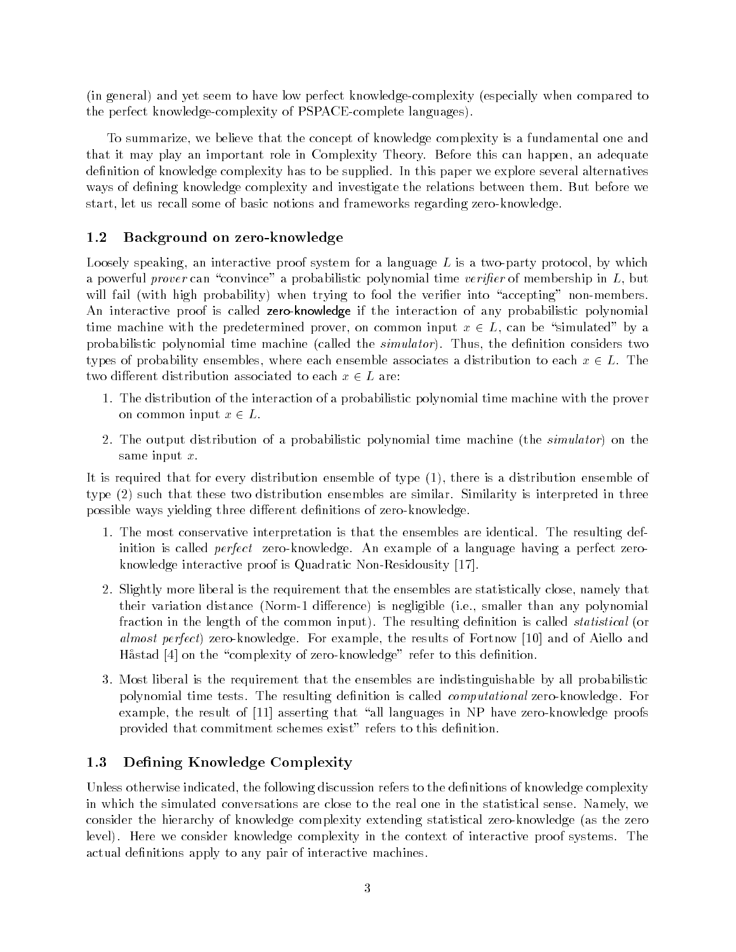in general and yet seem to have low perfect knowledge complexity especially when compared to the perfect knowledge-complexity of PSPACE-complete languages).

To summarize, we believe that the concept of knowledge complexity is a fundamental one and that it may play an important role in Complexity Theory. Before this can happen, an adequate definition of knowledge complexity has to be supplied. In this paper we explore several alternatives ways of defining knowledge complexity and investigate the relations between them. But before we start, let us recall some of basic notions and frameworks regarding zero-knowledge.

#### $1.2$ Background on zero-knowledge

Loosely speaking, an interactive proof system for a language  $L$  is a two-party protocol, by which a powerful prover can "convince" a probabilistic polynomial time verifier of membership in  $L$ , but with the  $\mu$  fails in probability with trying to fool the verificial non-point  $\mu$  , and the verific An interactive proof is called zero-knowledge if the interaction of any probabilistic polynomial time machine with the predetermined prover, on common input  $x \in L$ , can be "simulated" by a probabilistic polynomial time machine called the simulator Thus the denition considers two types of probability ensembles, where each ensemble associates a distribution to each  $x \in L$ . The two di-erent distribution associated to each x L are

- The distribution of the interaction of a probabilistic polynomial time machine with the prover on common input  $x \in L$ .
- The output distribution of a probabilistic polynomial time machine the simulator on the same input  $x$ .

It is required that for every distribution ensemble of type there is a distribution ensemble of  $t$  type two distribution ensembles are similar Similar Similar Similar Similar Similar Similar Similar Similar Similar Similar Similar Similar Similar Similar Similar Similar Similar Similar Similar Similar Similar Simil possible ways yielding three di-erent denitions of zero knowledge

- 1. The most conservative interpretation is that the ensembles are identical. The resulting definition is called *perfect* zero-knowledge. An example of a language having a perfect zeroknowledge interactive proof is Quadratic Non-Residousity  $[17]$ .
- 2. Slightly more liberal is the requirement that the ensembles are statistically close, namely that their variation distance (iverse is difference) is negligible (iver) smaller than any polynomial fraction in the length of the common input The resulting denition is called statistical or almost perfect) zero-knowledge. For example, the results of Fortnow [10] and of Aiello and Håstad  $[4]$  on the "complexity of zero-knowledge" refer to this definition.
- 3. Most liberal is the requirement that the ensembles are indistinguishable by all probabilistic polynomial time tests. The resulting definition is called *computational* zero-knowledge. For example, the result of  $[11]$  asserting that "all languages in NP have zero-knowledge proofs provided that commitment schemes exist" refers to this definition.

### 1.3 Defining Knowledge Complexity

Unless otherwise indicated, the following discussion refers to the definitions of knowledge complexity in which the simulated conversations are close to the real one in the statistical sense Namely we consider the military of hierarchy complexity continuing statistical zero through your theoretical level). Here we consider knowledge complexity in the context of interactive proof systems. The actual definitions apply to any pair of interactive machines.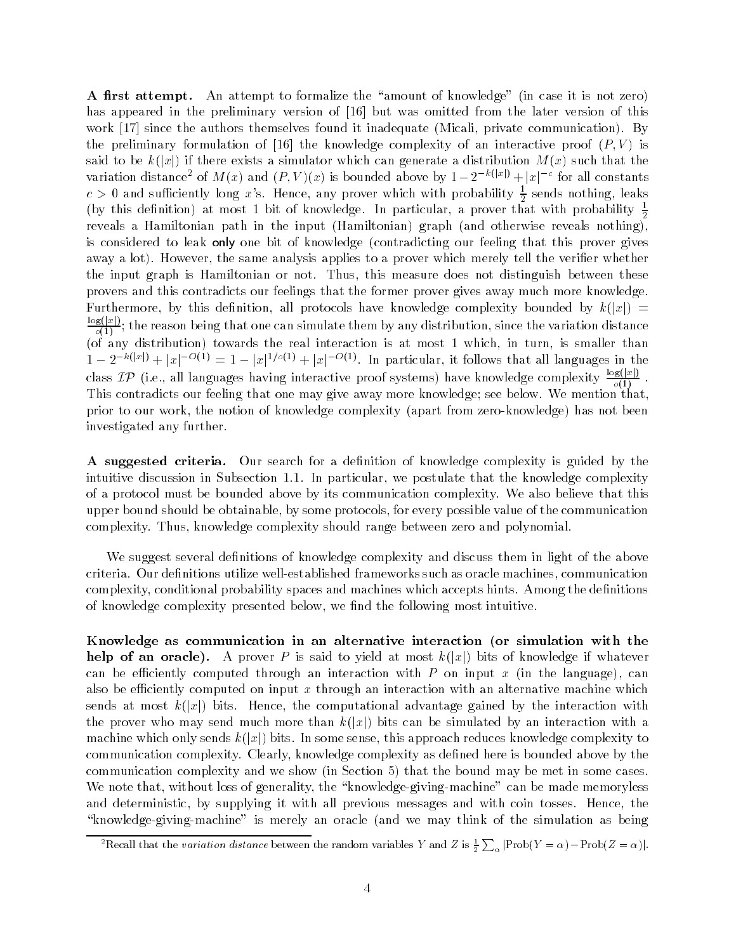a ratter attempt and the attempt to formalize the amount of the amount of the amount of the all  $\alpha$ has appeared in the preliminary version of [16] but was omitted from the later version of this work private the authors themselves found it inadequate private private communication By and the premiminary formulation of part into milestropy complexity of an interactive proof (fig. ) is said to be kijkij if there exists a simulator which can generate a distribution method of the there are the variation distance<sup>2</sup> of  $M(x)$  and  $(P, V)(x)$  is bounded above by  $1 - 2^{-k(|x|)} + |x|^{-c}$  for all constants  $c$   $>$  0 and sufficiently long  $x$  's. Hence, any prover which with probability  $\frac{1}{2}$  sends nothing, leaks (by this definition) at most 1 bit of knowledge. In particular, a prover that with probability  $\frac{1}{2}$ reveals a Hamiltonian path in the input Hamiltonian graph and otherwise reveals nothing is considered to leak only one bit of knowledge contradicting our feeling that this prover gives away a lot). However, the same analysis applies to a prover which merely tell the verifier whether the input graph is Hamiltonian or not. Thus, this measure does not distinguish between these provers and this contradicts our feelings that the former prover gives away much more knowledge Furthermore by this denition all protocols have knowledge complexity bounded by k jxj  $\log(|x|)$ of the reason being that one can simulate that one can simulate the variation distribution since the variation distance the variation distribution distance that  $\sigma$ of any distribution towards the real interaction is at most  $\mathbf{u}$  in turn is smaller than  $\mathbf{u}$  $1-2^{-k(|x|)}+|x|^{-O(1)}=1-|x|^{1/o(1)}+|x|^{-O(1)}$ . In particular, it follows that all languages in the class  $IP$  (i.e., all languages having interactive proof systems) have knowledge complexity  $\frac{\log(|x|)}{\log(1)}$ . o This contradicts our feeling that one may give away more knowledge; see below. We mention that. prior to our work, the notion of has not well complexed types from here the world from the complete  $\mathbb{R}^n$ investigated any further

A suggested criteria. Our search for a definition of knowledge complexity is guided by the intuitive discussion in Subsection 1.1. In particular, we postulate that the knowledge complexity of a protocol must be bounded above by its communication complexity We also believe that this upper bound should be obtainable by some protocols for every possible value of the communication complexity. Thus, knowledge complexity should range between zero and polynomial.

We suggest several definitions of knowledge complexity and discuss them in light of the above criteria. Our definitions utilize well-established frameworks such as oracle machines, communication complexity, conditional probability spaces and machines which accepts hints. Among the definitions of knowledge complexity presented below, we find the following most intuitive.

Knowledge as communication in an alternative interaction (or simulation with the help of an oracle A prover P is said to yield at most k jxj bits of knowledge if whatever can be extently computed through an interaction with P on input x  $\{m \text{ even} \}$  and  $\{m \text{ even} \}$ also be efficiently computed on input  $x$  through an interaction with an alternative machine which sends at most k jxj bits Hence the computational advantage gained by the interaction with the proven who may send much more than kind much more than kind  $\mathbf{u}$  by an interaction with an interaction with an interaction with a send of  $\mathbf{u}$ machine which only sense this In some sense this approach of probact complexity to the process  $\mathcal{L}$ communication complexity. Clearly, knowledge complexity as defined here is bounded above by the in Section complexity and we show the bound may be met in some cases of  $\mathbb{R}^n$ We note that, without loss of generality, the "knowledge-giving-machine" can be made memoryless and deterministic, by supplying it with all previous messages and with coin tosses. Hence, the knowledge  $\mathcal{U}$  and we may think of the simulation as being the simulation as  $\mathcal{U}$ 

<sup>&</sup>lt;sup>2</sup>Recall that the variation distance between the random variables Y and Z is  $\frac{1}{2}\sum_{\alpha}|Prob(Y=\alpha)-Prob(Z=\alpha)|$ .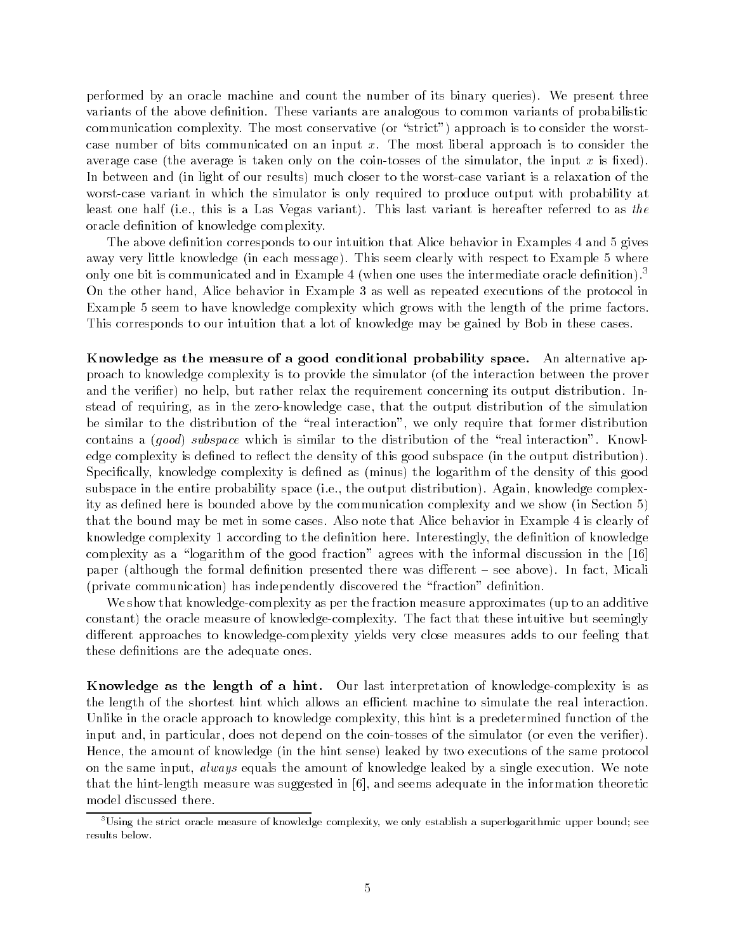performed by an oracle machine and count the number of its binary queries). We present three variants of the above definition. These variants are analogous to common variants of probabilistic or strict and completely the most complete the strict process  $\mu$  is proposed in the worst constants of the worst of case number of bits communicated on an input  $x$ . The most liberal approach is to consider the average is the principle of the coint of the simulation of the simulator the input  $\alpha$  is  $\alpha$  is  $\alpha$ In the light of our results much closer to the worst much closer to the worst case variant is a relaxation of the worst construction of the worst case variant is a relaxation of the worst construction of the worst constru worst-case variant in which the simulator is only required to produce output with probability at ie this is a Last one half  $\mathbf{I}$  is a Last variant is hereafter referred to as the as the as the as the as the as the as the as the as the as the as the as the as the as the as the as the as the as the as the as the as oracle definition of knowledge complexity.

The above definition corresponds to our intuition that Alice behavior in Examples 4 and 5 gives away very extent message  $\mu$  , and clearly message  $\mu$  , where the example  $\mu$  are the example of the example of  $\mu$ only one bit is communicated and in Example 4 (when one uses the intermediate oracle dennition)."  $\,$ On the other hand, Alice behavior in Example 3 as well as repeated executions of the protocol in Example 5 seem to have knowledge complexity which grows with the length of the prime factors. This corresponds to our intuition that a lot of knowledge may be gained by Bob in these cases

Knowledge as the measure of a good conditional probability space. An alternative approach to knowledge complexity is to provide the simulator of the interaction between the prover and the verifier) no help, but rather relax the requirement concerning its output distribution. Instead of requiring, as in the zero-knowledge case, that the output distribution of the simulation be similar to the distribution of the "real interaction", we only require that former distribution contains a good subspace which is similar to the distribution of the real interaction Knowl edge complexity is density is this control this density of this good subspace (in this distribution). The output of the output of the output of the output of the output of the output of the output of the output of the outp Specically knowledge complexity is dened as minus the logarithm of the density of this good subspace in the entire probability space ie the output distribution Again knowledge complex ity as denoted a only as denoted above by the communication complexity and we show  $\mathbf i$ that the bound may be met in some cases. Also note that Alice behavior in Example 4 is clearly of knowledge complexity 1 according to the definition here. Interestingly, the definition of knowledge complexity as a "logarithm of the good fraction" agrees with the informal discussion in the  $[16]$ paper (month-although the formal denition presented there was distincted the second theory distinction of private communication has independently discovered the fraction denition

We show that knowledge complexity as per the fraction measure approximates up to an additive constant) the oracle measure of knowledge-complexity. The fact that these intuitive but seemingly di-erent approaches to knowledge complexity yields very close measures adds to our feeling that these definitions are the adequate ones.

Knowledge as the length of a hint. Our last interpretation of knowledge-complexity is as the length of the shortest hint which allows an efficient machine to simulate the real interaction. Unlike in the oracle approach to knowledge complexity this hint is a predetermined function of the input and in particular does not depend on the coin tosses of the simulator or even the verier Hence the amount of knowledge in the hint sense leaked by two executions of the same protocol on the same input, *always* equals the amount of knowledge leaked by a single execution. We note that the hint-length measure was suggested in  $[6]$ , and seems adequate in the information theoretic model discussed there

 $^\circ$ Using the strict oracle measure of knowledge complexity, we only establish a superlogarithmic upper bound; see results below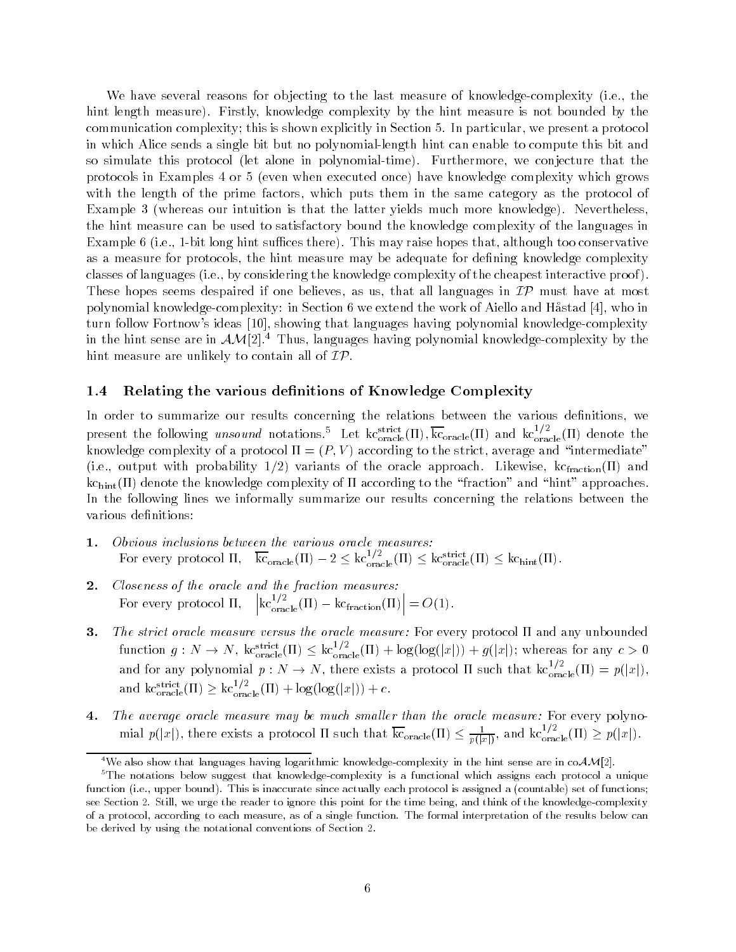we have several reasons for objecting to the last measure of measurement complexity (first) the complexity  $\mathcal{L}$ hint length measure). Firstly, knowledge complexity by the hint measure is not bounded by the communication complexity; this is shown explicitly in Section 5. In particular, we present a protocol in which Alice sends a single bit but no polynomial-length hint can enable to compute this bit and so simulate this protocol (i.e. situate in polynomials) and the content of the conjecture that the co protocols in Examples or 
 even when executed once have knowledge complexity which grows with the length of the prime factors, which puts them in the same category as the protocol of Example whereas our intuition is that the latter yields much more knowledge Nevertheless the hint measure can be used to satisfactory bound the knowledge complexity of the languages in examples in principle interesting and the manufacture that  $\mu$  is made the principle that although too conservative interesting the conservative of the conservative of the conservative of the conservative of the conservat as a measure for protocols, the hint measure may be adequate for defining knowledge complexity classes of languages ie by considering the knowledge complexity of the cheapest interactive proof These hopes seems despaired if one believes, as us, that all languages in  $\mathcal{IP}$  must have at most polynomial knowledge-complexity: in Section 6 we extend the work of Aiello and H $\delta$ stad [4], who in turn follow Fortnow's ideas [10], showing that languages having polynomial knowledge-complexity in the hint sense are in  $AM[2].<sup>4</sup>$  Thus, languages having polynomial knowledge-complexity by the hint measure are unlikely to contain all of  $\mathcal{IP}.$ 

### 1.4 Relating the various definitions of Knowledge Complexity

In order to summarize our results concerning the relations between the various definitions, we present the following *unsound* notations. Let  $k_{\text{oracle}}^{\text{surface}}(H)$ ,  $k_{\text{oracle}}(H)$  and  $k_{\text{oracle}}^{\text{'}-r}$  (II) denote the knowledge complexity of a protocol P V according to the strict average and intermediate is a computer with probability  $\omega_f = f$  , whenever we have also replacements controlling to  $\omega_f$  and  $\omega_f$  and  $\omega_f$ and denote the complexity of  $\alpha$  according to the fraction and hint approaches to the fraction and hint approaches to the fraction and hint approaches to the fraction and hint approaches to the fraction and hint approach In the following lines we informally summarize our results concerning the relations between the various definitions:

- For every protocol  $\Pi$ ,  $k_{\text{oracle}}(H) 2 \leq k c_{\text{oracle}}^{\text{cracle}}(H) \leq k c_{\text{oracle}}^{\text{struct}}(H) \leq k c_{\text{hint}}^{\text{c}}(H)$ .
- Closeness of the oracle and the fraction measures:  $2.$  $\left|\kappa c_{\text{oracle}}^{1/2}(\Pi)-\kappa c_{\text{fraction}}(\Pi)\right|=$  $=O(1)$ . For every protocol
- 3. The strict oracle measure-  $\mathcal{F}_{\mathbf{r}}$  oracle measure-  $\mathcal{F}_{\mathbf{r}}$  and any unbounded any unbounded any unbounded any unbounded any unbounded any unbounded any unbounded any unbounded any unbounded any unbounded any function  $g: N \to N$ ,  $k_{\text{oracle}}^{\text{surface}}(H) \leq k_{\text{oracle}}^{\text{cycle}}(H) + \log(\log(|x|)) + g(|x|)$ ; whereas for any  $c > 0$ and for any polynomial  $p: N \to N$ , there exists a protocol II such that  $k c_{\text{oracle}}^{\gamma, \tau}([1]) = p(|x|)$ , and  $\text{kc}_{\text{oracle}}^{\text{surface}}(H) \geq \text{kc}_{\text{oracle}}^{\text{'}\text{'}\text{''}}(H) + \log(\log(|x|)) + c.$
- The average oracle measure may be much smaller than the oracle measure- For every polyno mial  $p(|x|)$ , there exists a protocol II such that  $k_{\text{Oracle}}(H) \leq \frac{1}{p(|x|)}$ , and  $k c_{\text{oracle}}^{(+)}(H) \geq p(|x|)$ .

<sup>&</sup>lt;sup>4</sup>We also show that languages having logarithmic knowledge-complexity in the hint sense are in co $\mathcal{AM}[2]$ .

 $5$ The notations below suggest that knowledge-complexity is a functional which assigns each protocol a unique function ie- upper bound This is inaccurate since actually each protocol is assigned a countable set of functions see Section as Still-Complexity this point for the time being-time being-time being-time being-time being-time beingof a protocol- according to each measure- as of a single function The formal interpretation of the results below can be derived by using the notational conventions of Section 2.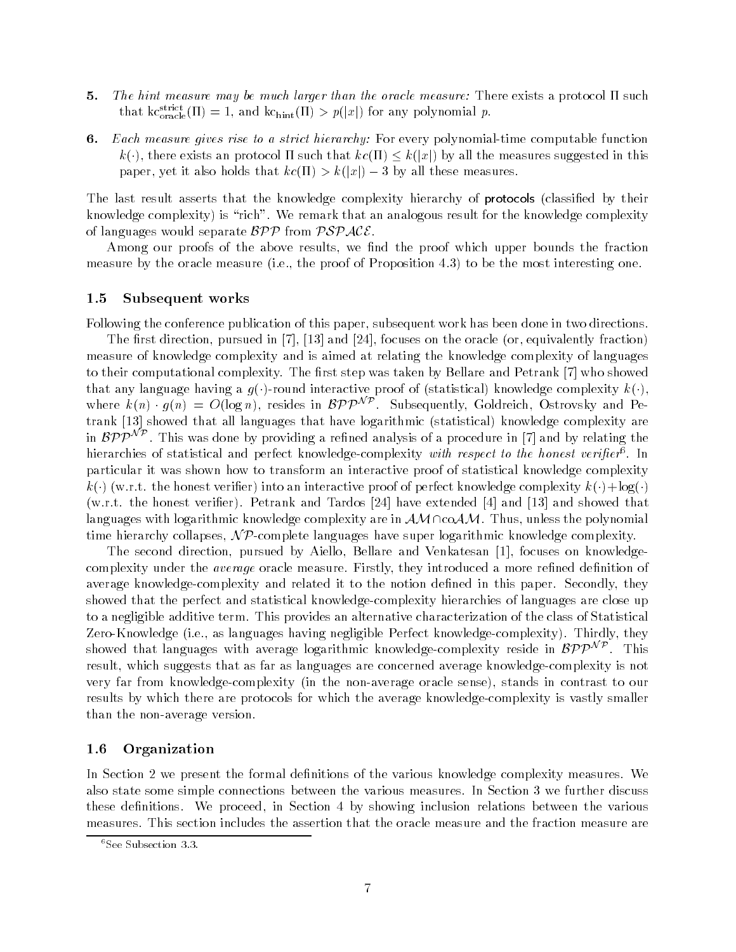- the measure-collection and the much larger than the oracle measure-than the oracle measure- such a protocol such that  $\kappa_{\text{oracle}}(H) = 1$ , and  $\kappa c_{\text{hint}}(H) > p(|x|)$  for any polynomial p.
- er <del>m</del>assi rise to a gives rise to a strict hierarchy-ben strict polynomial time computation function.  $k$  and an approximately by all the measures suggested in the measures suggested in the measures suggested in the measures suggested in the measures of  $\mathcal{M}$  and  $\mathcal{M}$  and  $\mathcal{M}$  and  $\mathcal{M}$  and  $\mathcal{M}$  and  $\mathcal$ paper yet it also holds that we have a specific the second contract of the second contract of the second contr

The last result asserts that the knowledge complexity hierarchy of protocols classied by their knowledge complexity) is "rich". We remark that an analogous result for the knowledge complexity of languages would separate  $BPP$  from  $PSPACE$ .

Among our proofs of the above results, we find the proof which upper bounds the fraction measure by the oracle measure ie the proof of Proposition to be the most interesting one

### 1.5 Subsequent works

Following the conference publication of this paper, subsequent work has been done in two directions.

 $\Gamma$  rst direction pursued in  $\Gamma$  focus on the oracle  $\Gamma$  focus on the oracle  $\Gamma$ measure of knowledge complexity and is aimed at relating the knowledge complexity of languages to their computational complexity. The first step was taken by Bellare and Petrank [7] who showed that any language having a g round interactive proof of statistical knowledge complexity k to their computational complexity. The inst step was taken by Behare and Fetrank [4] who showed<br>that any language having a  $g(\cdot)$ -round interactive proof of (statistical) knowledge complexity  $k(\cdot)$ ,<br>where  $k(n) \cdot g(n) = O(\log n)$ trank showed that all languages that have logarithmic statistical knowledge complexity are in  $BPP^{NP}$ . This was done by providing a refined analysis of a procedure in [7] and by relating the merarchies of statistical and perfect knowledge-complexity *with respect to the honest verifier*". In particular it was shown how to transform an interactive proof of statistical knowledge complexity wrt the honest verificial complete the model of perfect and interactive and the complexity  $\alpha$  is a logical complete that  $\alpha$ wrth the honest verifies, a choice and and the pattern choice that the pattern and showed that languages with logarithmic knowledge complexity are in  $AM$  $\cap$ co $AM$ . Thus, unless the polynomial time hierarchy collapses,  $\mathcal{NP}$ -complete languages have super logarithmic knowledge complexity.

The second direction, pursued by Aiello, Bellare and Venkatesan [1], focuses on knowledgecomplexity under the *average* oracle measure. Firstly, they introduced a more refined definition of average knowledge-complexity and related it to the notion defined in this paper. Secondly, they showed that the perfect and statistical knowledge-complexity hierarchies of languages are close up to a negligible additive term This provides an alternative characterization of the class of Statistical ie as as a language in the complete complete complexity  $\alpha$  . This is a language  $\alpha$  is a language  $\alpha$ to a negligible additive term. This provides an alternative characterization of the class of Statistical<br>Zero-Knowledge (i.e., as languages having negligible Perfect knowledge-complexity). Thirdly, they<br>showed that langua result, which suggests that as far as languages are concerned average knowledge-complexity is not very far from knowledge complexity in the non average oracle sense stands in contrast to our results by which there are protocols for which the average knowledge-complexity is vastly smaller than the non-average version.

### 1.6 Organization

In Section 2 we present the formal definitions of the various knowledge complexity measures. We also state some simple connections between the various measures. In Section 3 we further discuss these definitions. We proceed, in Section 4 by showing inclusion relations between the various measures This section includes the assertion that the oracle measure and the fraction measure are

See Subsection 3.3.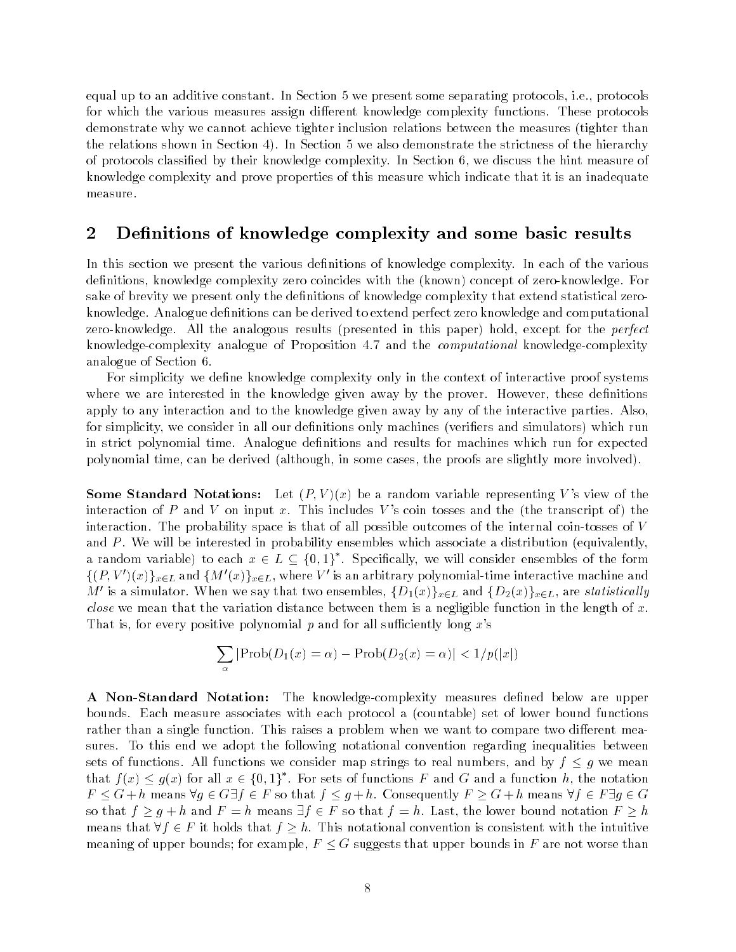equal up to an additive constant. In Section 5 we present some separating protocols, i.e., protocols for which the various measures assign di-erent knowledge complexity functions These protocols demonstrate why we cannot achieve tighter inclusion relations between the measures tighter than the relations shown in Section  $4$ ). In Section 5 we also demonstrate the strictness of the hierarchy of protocols classified by their knowledge complexity. In Section 6, we discuss the hint measure of knowledge complexity and prove properties of this measure which indicate that it is an inadequate measure

#### $\bf{2}$ De-nitions of knowledge complexity and some basic results

In this section we present the various definitions of knowledge complexity. In each of the various denitions knowledge complexity zero coincides with the known concept of zero knowledge For sake of brevity we present only the definitions of knowledge complexity that extend statistical zeroknowledge. Analogue definitions can be derived to extend perfect zero knowledge and computational zero knowledge All the analogous results presented in this paper hold except for the perfect knowledge-complexity analogue of Proposition 4.7 and the *computational* knowledge-complexity analogue of Section

For simplicity we define knowledge complexity only in the context of interactive proof systems where we are interested in the knowledge given away by the prover. However, these definitions apply to any interaction and to the knowledge given away by any of the interactive parties. Also, for simplicity we consider in all our denitions only machines veriers and simulators which run in strict polynomial time. Analogue definitions and results for machines which run for expected polynomial time cases the derived cases the proofs are slightly more proofs are the proofs are slightly more in

Some Standard Notations Let P V x be a random variable representing V s view of the interaction of P and V on input x This includes V s coin tosses and the the transcript of the interaction. The probability space is that of all possible outcomes of the internal coin-tosses of  $V$ and P will be interested in probability ensembles which associate a distribution  $\{z\}$  and  $\{z\}$ a random variable) to each  $x\in L\subseteq \{0,1\}$  . Specifically, we will consider ensembles of the form  $\{(P,V')(x)\}_{x\in L}$  and  $\{M'(x)\}_{x\in L}$ , where  $V'$  is an arbitrary polynomial-time interactive machine and M' is a simulator. When we say that two ensembles,  $\{D_1(x)\}_{x\in L}$  and  $\{D_2(x)\}_{x\in L}$ , are statistically *close* we mean that the variation distance between them is a negligible function in the length of x. That is, for every positive polynomial p and for all sufficiently long  $x$ 's

$$
\sum_{\alpha} |\text{Prob}(D_1(x) = \alpha) - \text{Prob}(D_2(x) = \alpha)| < \frac{1}{p(|x|)}
$$

A NonStandard Notation The knowledge complexity measures dened below are upper bounds Each measure associates with the set of lower and protocol at lower and the set of lower bound function rather than a single function This raise a problem when we want to compute two distinct means sures. To this end we adopt the following notational convention regarding inequalities between sets of functions. All functions we consider map strings to real numbers, and by  $f \leq g$  we mean that  $f(x) \leq q(x)$  for all  $x \in \{0,1\}$  . For sets of functions  $F$  and  $G$  and a function  $n$ , the notation  $F \leq G + h$  means  $\forall g \in G \exists f \in F$  so that  $f \leq g + h$ . Consequently  $F \geq G + h$  means  $\forall f \in F \exists g \in G$ so that  $f \ge g + h$  and  $F = h$  means  $\exists f \in F$  so that  $f = h$ . Last, the lower bound notation  $F \ge h$ means that  $\forall f \in F$  it holds that  $f > h$ . This notational convention is consistent with the intuitive meaning of upper bounds; for example,  $F \leq G$  suggests that upper bounds in F are not worse than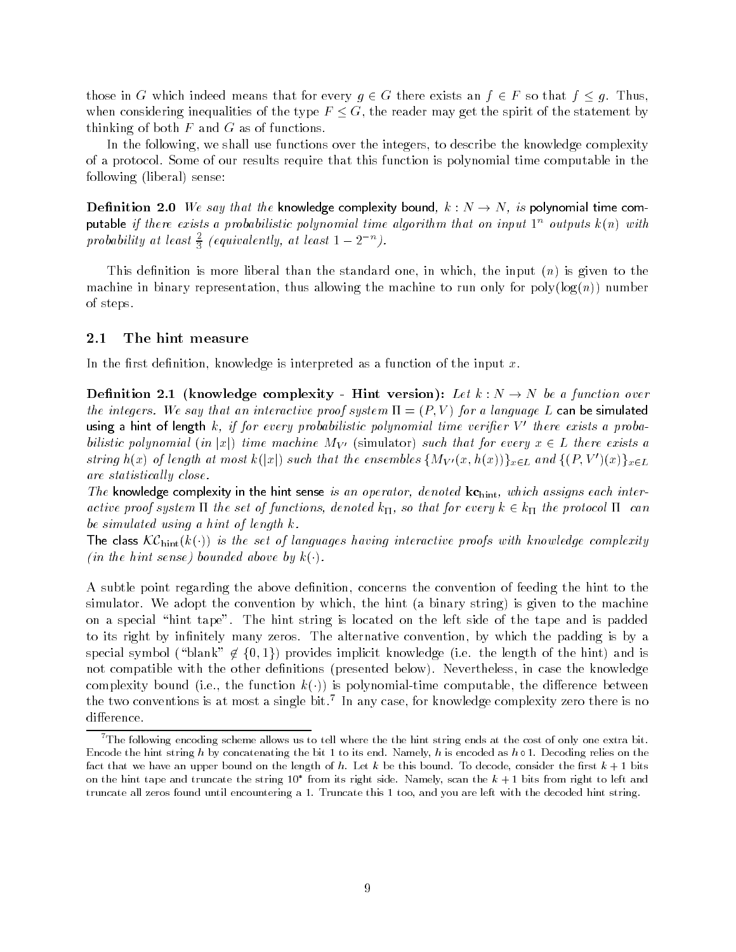those in G which indeed means that for every  $g \in G$  there exists an  $f \in F$  so that  $f \leq g$ . Thus, when considering inequalities of the type  $F \leq G$ , the reader may get the spirit of the statement by thinking of both  $F$  and  $G$  as of functions.

In the following, we shall use functions over the integers, to describe the knowledge complexity of a protocol Some of our results require that this function is polynomial time computable in the following liberal sense

Definition 2.0 We say that the knowledge complexity bound,  $k: N \to N$ , is polynomial time com- ${\sf putable}$  if there exists a probabilistic polynomial time algorithm that on input  $1^-$  outputs  $\kappa(n)$  with probability at least  $\frac{2}{3}$  (equivalently, at least  $1-2^{-n}$ ).

This denition is more liberal than the standard one in which the input n is given to the machine in binary representation thus allowing the machine to run only for poly log n number of steps

#### $2.1$ The hint measure

In the first definition, knowledge is interpreted as a function of the input  $x$ .

Denition knowledge complexity Hint version Let k N N be a function over the integers. We say that an interactive proof system  $\Pi = \{I, V\}$  for a language  $L$  can be simulated using a hint of length k, if for every probabilistic polynomial time verifier V' there exists a proba- $\alpha$ inch time  $\alpha$  in j $\alpha$  , there machine  $\alpha$  is a formation  $\mu$  called that for every  $\alpha$   $\in$   $\pm$  there exists  $\alpha$ string  $h(x)$  of length at most  $k(|x|)$  such that the ensembles  $\{M_{V'}(x,h(x))\}_{x\in L}$  and  $\{(P,V')(x)\}_{x\in L}$ are statistically close.

The knowledge complexity in the hint sense is an operator, denoted  $kc_{\text{hint}}$ , which assigns each interactive proof system is denoted known and for the set of functions denoted known and for every k  $k$  the protocol  $k$ be simulated using a hint of length  $k$ .

The class  $\kappa$ C<sub>hint</sub>( $\kappa$ (')) is the set of languages having interactive proofs with knowledge complexity in the hint sense bounded above by k

A subtle point regarding the above definition, concerns the convention of feeding the hint to the simulator we arrange that convention by which the hints  $\mu$  and  $\mu$  arranged in  $\mu$  are machine to the machine on a special "hint tape". The hint string is located on the left side of the tape and is padded to its right by infinitely many zeros. The alternative convention, by which the padding is by a special symbol blank f g provides implicit knowledge ie the length of the hint and is not compatible with the other denitions presented below Nevertheless in case the knowledge complexity bound (file) including it for polynomials that computable the ministerior between the computable th the two conventions is at most a single bit. Th any case, for knowledge complexity zero there is no

<sup>&</sup>lt;sup>7</sup>The following encoding scheme allows us to tell where the the hint string ends at the cost of only one extra bit. encode the hint string h by concentenating the bit seconded as health is encoded as h is encoding relies on the fact that we have an upper bound on the length of h Let <sup>k</sup> be this bound To decode- consider the rst <sup>k</sup> bits on the hint tape and truncate the string 10  $\,$  from its right side. Namely, scan the  $\kappa+1$  bits from right to left and  $\,$ truncate all zeros found until encountering a Truncate this too- and you are left with the decoded hint string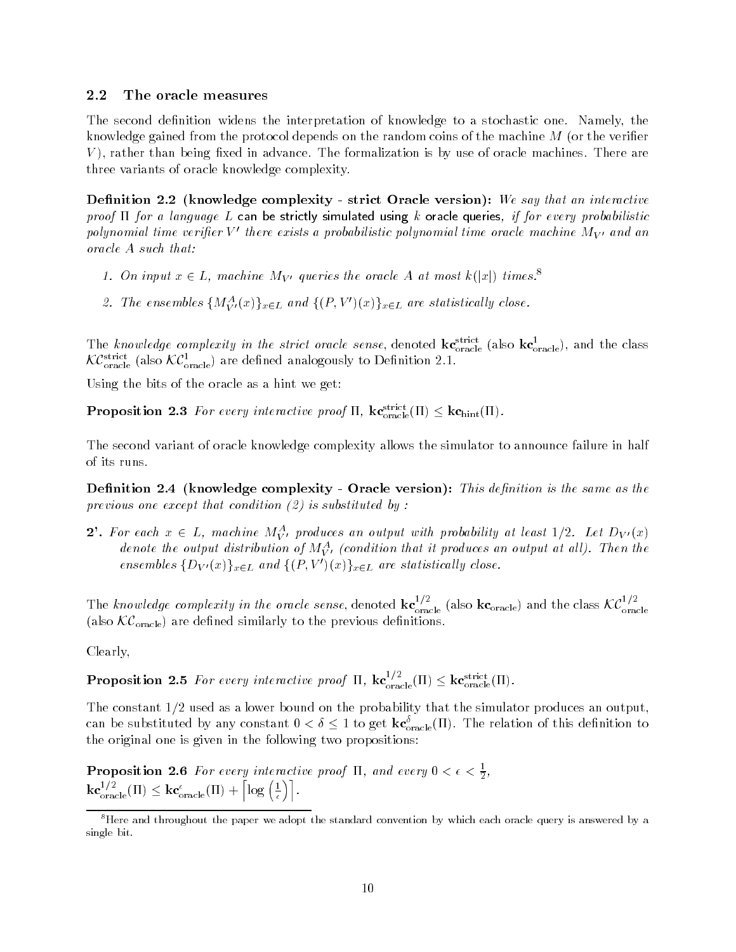### The oracle measures

The second definition widens the interpretation of knowledge to a stochastic one. Namely, the knowledge gained from the protocol depends on the random coins of the machine M or the verier  $V$ ), rather than being fixed in advance. The formalization is by use of oracle machines. There are three variants of oracle knowledge complexity

Denition knowledge complexity strict Oracle version We say that an interactive proof  $\Pi$  for a language L can be strictly simulated using k oracle queries, if for every probabilistic polynomial time verifier V' there exists a probabilistic polynomial time oracle machine  $M_{V'}$  and an oracle A such that:

- 1. On input  $x \in L$ , machine M<sub>V</sub> queries the oracle A at most  $\kappa(|x|)$  times.
- 2. The ensembles  $\{M_{V'}^A(x)\}_{x\in L}$  and  $\{(P,V')(x)\}_{x\in L}$  are statistically close.

The knowledge complexity in the strict oracle sense, denoted  $\kappa c_{\rm oracle}^{\rm create}$  (also  $\kappa c_{\rm oracle}^{\rm create}$ ), and the class  $\lambda C_{\text{oracle}}^{\text{oracle}}$  (also  $\lambda C_{\text{oracle}}^{\text{oracle}}$ ) are denned analogously to Dennition 2.1.

Using the bits of the oracle as a hint we get

**Proposition 2.3** For every interactive proof  $\Pi$ ,  $\kappa c_{\text{oracle}}(H) \leq \kappa c_{\text{hint}}(H)$ .

The second variant of oracle knowledge complexity allows the simulator to announce failure in half of its runs

Denition knowledge complexity Oracle version This denition is the same as the previous one except that condition  $(2)$  is substituted by :

 $Z$  . For each  $x \in L$ , machine  $M_{V'}$  produces an output with probability at least  $1/Z$ . Let  $D_{V'}(x)$ denote the output aistribution of  $M_{\tilde{V}'}^{\tau}$  (condition that it produces an output at all). Then the ensembles  $\{D_{V'}(x)\}_{x\in L}$  and  $\{(P,V')(x)\}_{x\in L}$  are statistically close.

The knowledge complexity in the oracle sense, denoted  $\kappa c_{\text{meals}}^{\text{re}}$  $\frac{17}{\text{oracle}}$  (also  $\text{kc}_{\text{oracle}}$ ) and the class  $\mathcal{KC}_{\text{oracle}}^{17}$ also KCORacle are denoted similarly to the previous density of the previous density of the previous density of  $\alpha$ 

Clearly

**Proposition 2.5** For every interactive proof  $\Pi$ ,  $\kappa c_{\text{oracle}}^{\gamma}(\Pi) \leq \kappa c_{\text{oracle}}^{\text{oracle}}(\Pi)$ .

The constant  $1/2$  used as a lower bound on the probability that the simulator produces an output. can be substituted by any constant  $0 < \delta \leq 1$  to get  $\kappa c_{oracle}(H)$ . The relation of this definition to the original one is given in the following two propositions

**Proposition 2.6** For every interactive proof  $\text{II}$ , and every  $0 < \epsilon < \frac{1}{2}$ ,  ${\bf kc}_{\rm oracle}^{1/2}(\Pi) \leq {\bf kc}_{\rm oracle}^\epsilon(\Pi) + \left\lceil \log\left(\frac{1}{\epsilon}\right) \right\rceil.$ 

 ${}^{8}$ Here and throughout the paper we adopt the standard convention by which each oracle query is answered by a single bit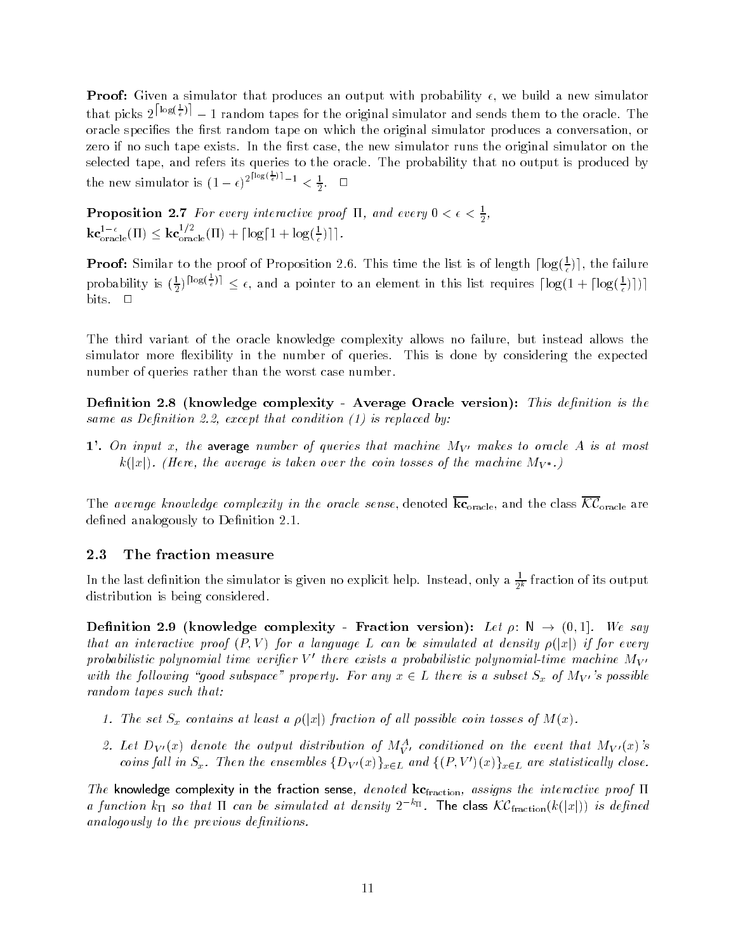Proof Given a simulator that produces an output with probability we build a new simulator that picks  $2^{\lfloor \log(\frac{1}{\epsilon}) \rfloor} - 1$  random tapes for the original simulator and sends them to the oracle. The oracle specifies the first random tape on which the original simulator produces a conversation, or zero if no such tape exists. In the first case, the new simulator runs the original simulator on the selected tape, and refers its queries to the oracle. The probability that no output is produced by the new simulator is  $(1 - \epsilon)^{2^{\lfloor \log(\frac{\epsilon}{\epsilon}) \rfloor} - 1} < \frac{1}{2}$ .

**Proposition 2.7** For every interactive proof 11, and every  $0 \leq \epsilon \leq \frac{2}{5}$ ,  ${\bf kc}_{\rm oracle}^{1-\epsilon}(\Pi) \leq {\bf kc}_{\rm oracle}^{1/2}(\Pi) + \lceil \log \lceil 1 + \log (\frac{1}{\epsilon}) \rceil \rceil.$ 

**Proof:** Similar to the proof of Proposition 2.6. This time the list is of length  $|\log(\frac{1}{\epsilon})|$ , the failure probability is  $(\frac{1}{2})^{\lceil \log(\frac{1}{\epsilon}) \rceil} \leq \epsilon$ , and a pointer to an element in this list requires  $\lceil \log(1 + \lceil \log(\frac{1}{\epsilon}) \rceil) \rceil$ bits.  $\square$ 

The third variant of the oracle knowledge complexity allows no failure, but instead allows the simulator more flexibility in the number of queries. This is done by considering the expected number of queries rather than the worst case number

denition and interesting complexity and the space oracle versions is the state of the state of the state of th same as Definition 2.2, except that condition  $(1)$  is replaced by:

1'. On input x, the average number of queries that machine  $M_{V}$  makes to oracle A is at most  $\mathbb{E}[\mathbf{x}_1]$  . There, are average is taken over the complete of the machine  $\mathbb{E}[\mathbf{x}_1]$ 

The average know ledge complexity in the oracle sense denoted kcoracle and the class KCoracle are defined analogously to Definition 2.1.

#### 2.3 The fraction measure

In the last definition the simulator is given no explicit help. Instead, only a  $\frac{\gamma}{2^k}$  fraction of its output distribution is being considered

Denition knowledge complexityFraction version Let <sup>N</sup> We say that an interactive proof P V for a language L can be simulated at density jxj if for every probabilistic polynomial time verifier V' there exists a probabilistic polynomial-time machine  $M_{V'}$ with the following your subspace  $p$  reperty. For any  $x \in \mathbf{B}$  mere is a subset  $S_x$  of My control random tapes such that:

- The set San San San Contains at least a public possible coin to all possible coincidences of all possible in
- 2. Let  $D_{V'}(x)$  denote the output aistribution of  $M_{V'}^{\perp}$  conditioned on the event that  $M_{V'}(x)$  s coins fall in  $S_x$ . Then the ensembles  $\{D_{V'}(x)\}_{x \in L}$  and  $\{(P, V')(x)\}_{x \in L}$  are statistically close.

The knowledge complexity in the fraction sense, denoted  $k c_{\text{fraction}}$ , assigns the interactive proof  $\Pi$ a function  $k_{\Pi}$  so that  $\Pi$  can be simulated at density  $2^{-k_{\Pi}}$ . The class  $\mathcal{KC}_{\text{fraction}}(k(|x|))$  is defined analogously to the previous definitions.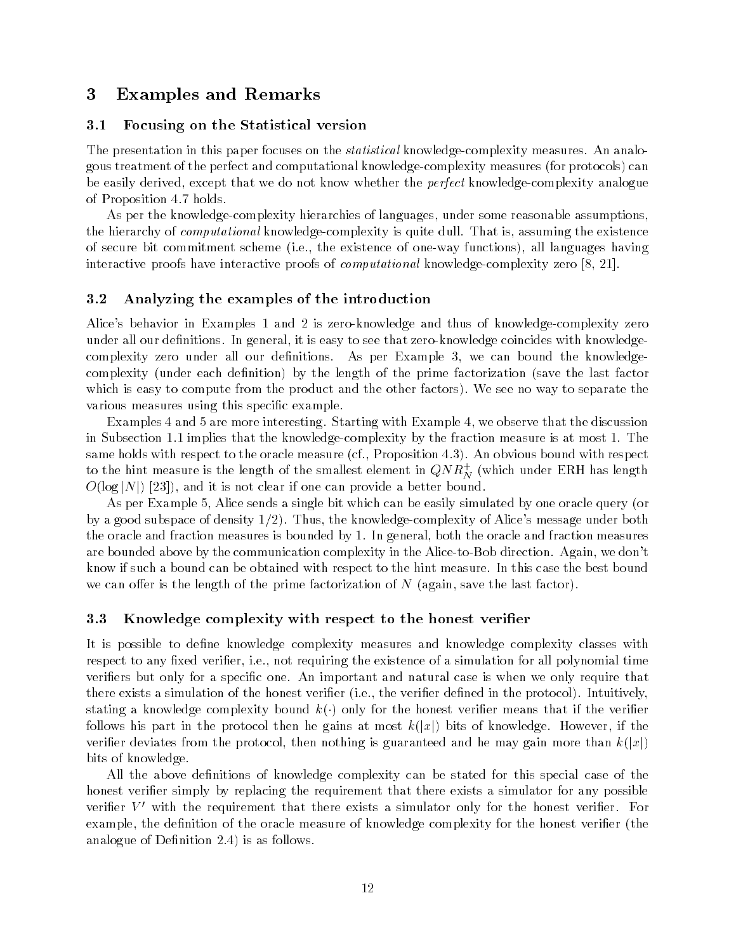# Examples and Remarks

### 3.1 Focusing on the Statistical version

The presentation in this paper focuses on the *statistical* knowledge-complexity measures. An analofor the perfect and computational computational knowledge  $\mathfrak{g}_1$  and  $\mathfrak{g}_2$  measures  $\mathfrak{g}_3$  and  $\mathfrak{g}_4$  and  $\mathfrak{g}_5$  and  $\mathfrak{g}_7$  and  $\mathfrak{g}_8$  and  $\mathfrak{g}_9$  and  $\mathfrak{g}_8$  and  $\mathfrak{g}_9$  and  $\mathfrak{g}_$ be easily derived, except that we do not know whether the *perfect* knowledge-complexity analogue of Proposition 4.7 holds.

As per the knowledge-complexity hierarchies of languages, under some reasonable assumptions. the hierarchy of *computational* knowledge-complexity is quite dull. That is, assuming the existence of secure bit commitment scheme (field the existence of one way functions) functions all languages  $\sim$ interactive proofs have interactive proofs of *computational* knowledge-complexity zero  $[8, 21]$ .

#### 3.2 Analyzing the examples of the introduction

Alice's behavior in Examples 1 and 2 is zero-knowledge and thus of knowledge-complexity zero under all our definitions. In general, it is easy to see that zero-knowledge coincides with knowledgecomplexity zero under all our definitions. As per Example 3, we can bound the knowledgecomplexity under each denition by the length of the prime factorization save the last factor which is easy to compute from the product and the other factors). We see no way to separate the various measures using this specific example.

Examples 4 and 5 are more interesting. Starting with Example 4, we observe that the discussion in Subsection  $1.1$  implies that the knowledge-complexity by the fraction measure is at most  $1.$  The same holds with respect to the oracle measure cf Proposition An obvious bound with respect to the hint measure is the length of the smallest element in  $QN$   $K_N^{\phantom i}$  (which under ERH has length  $\blacksquare$  is and it is not can provide a better bounded bounded bounded bounded bounded bounded bounded bounded bounded bounded bounded bounded bounded bounded bounded bounded bounded bounded bounded bounded bounded bounded

As per Example 
 Alice sends a single bit which can be easily simulated by one oracle query or by a good subspace of density  $1/2$ . Thus, the knowledge-complexity of Alice's message under both the oracle and fraction measures is bounded by 1. In general, both the oracle and fraction measures are bounded above by the communication complexity in the Alice-to-Bob direction. Again, we don't know if such a bound can be obtained with respect to the hint measure In this case the best bound er is the length of the prime factorization of N  $\alpha$  is the prime factorization of N  $\alpha$ 

### 3.3 Knowledge complexity with respect to the honest verifier

It is possible to define knowledge complexity measures and knowledge complexity classes with respect to any fixed verifier, i.e., not requiring the existence of a simulation for all polynomial time verifiers but only for a specific one. An important and natural case is when we only require that there exists a simulation of the honest verier ie the verier dened in the protocol Intuitively rth the distribution of the form in the complete the station of the verified the verified that if the verified follows his part in the protocol then he gains at most knowledge However if the protocol then he gains at  $\alpha$ veries from the protocol the protocol then nothing is guaranteed and he may gain more than  $\alpha_{1,1}$ bits of knowledge

All the above definitions of knowledge complexity can be stated for this special case of the honest verifier simply by replacing the requirement that there exists a simulator for any possible verifier  $V'$  with the requirement that there exists a simulator only for the honest verifier. For example the denition of the oracle measure of knowledge complexity for the honest verier the analogue of Definition  $2.4$ ) is as follows.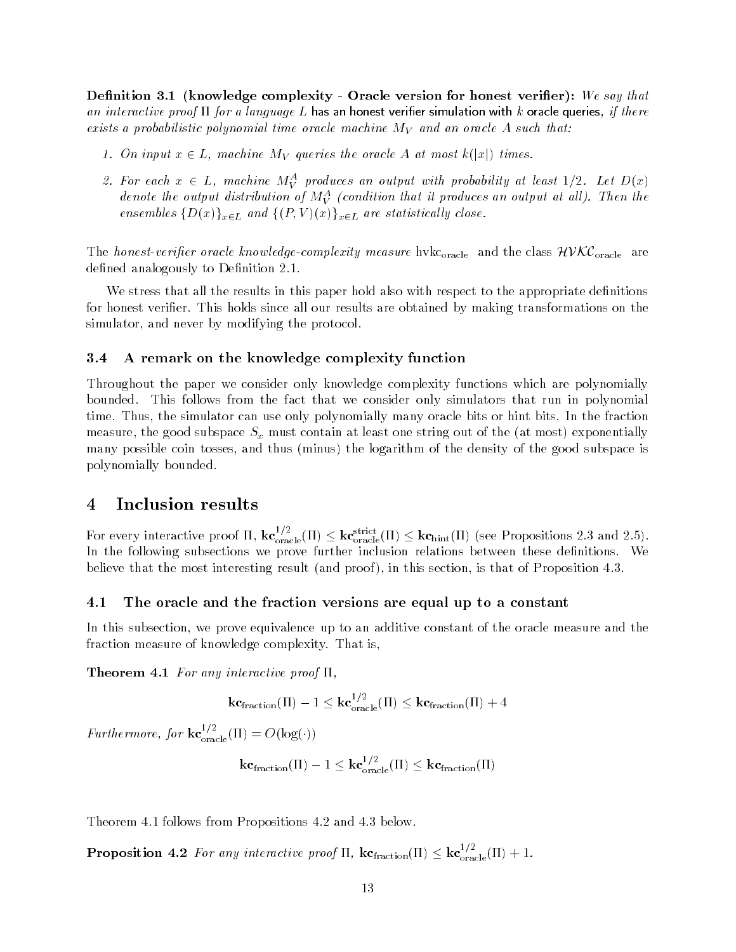- complete the form of the sample complexity of the complete version for the same of  $\mu$  and  $\mu$  and  $\mu$ an interactive proof  $\Pi$  for a language L has an honest verifier simulation with k oracle queries, if there exists a probabilistic polynomial time oracle machine  $M_V$  and an oracle A such that:

- On input <sup>x</sup> L machine MV queries the oracle <sup>A</sup> at most <sup>k</sup>jxj times
- 2. For each  $x \in L$ , machine  $M_V^{\tau}$  produces an output with probability at least  $1/2$ . Let  $D(x)$ denote the output distribution of M $_{V}$  (condition that it produces an output at all). Then the ensembles  $\{D(x)\}_{x\in L}$  and  $\{P, V\}(x)\}_{x\in L}$  are statistically close.

The honestverier oracle know ledgecomplexity measure hvkcoracle and the class HVKCoracle are defined analogously to Definition 2.1.

We stress that all the results in this paper hold also with respect to the appropriate definitions for honest verifier. This holds since all our results are obtained by making transformations on the simulator, and never by modifying the protocol.

### A remark on the knowledge complexity function

Throughout the paper we consider only knowledge complexity functions which are polynomially bounded. This follows from the fact that we consider only simulators that run in polynomial time. Thus, the simulator can use only polynomially many oracle bits or hint bits. In the fraction measure the good subspace  $\Omega$  at at at least one string out of the string out of the string out of the string o many possible coin thus the logarithm of the logarithm of the and the good good subspace is polynomially bounded

# 4 Inclusion results

For every interactive proof II,  $\text{kc}_{\text{oracle}}^{\text{cr}}(H) \leq \text{kc}_{\text{oracle}}^{\text{source}}(H) \leq \text{kc}_{\text{hint}}^{\text{tr}}(H)$  (see Propositions 2.3 and 2.5). In the following subsections we prove further inclusion relations between these definitions. We  $\mathbf{A}$  the most interesting result interesting result in this section is that of Proposition is that of Proposition is the most interesting result in this section is that of Proposition is that of Proposition is the mos

### The oracle and the fraction versions are equal up to a constant

In this subsection, we prove equivalence up to an additive constant of the oracle measure and the fraction measure of knowledge complexity. That is,

**Theorem 4.1** For any interactive proof  $\Pi$ ,

 $\textbf{kc}_{\text{fraction}}(II) - 1 \leq \textbf{kc}_{\text{oracle}}^{+/-}(II) \leq \textbf{kc}_{\text{fraction}}(II) + 4$ 

Furthermore, for  $\mathbf{kc}_{\text{oracle}}^{\prime\prime}(\Pi) = O(\log(\cdot))$ 

$$
\mathbf{kc}_{\mathrm{fraction}}(\Pi) - 1 \leq \mathbf{kc}_{\mathrm{oracle}}^{1/2}(\Pi) \leq \mathbf{kc}_{\mathrm{fraction}}(\Pi)
$$

Theorem 4.1 follows from Propositions  $4.2$  and  $4.3$  below.

**Proposition 4.2** For any interactive proof II,  $kcf_{\text{fraction}}(II) \leq kcf_{\text{oracle}}^{(II)}(II) + 1$ .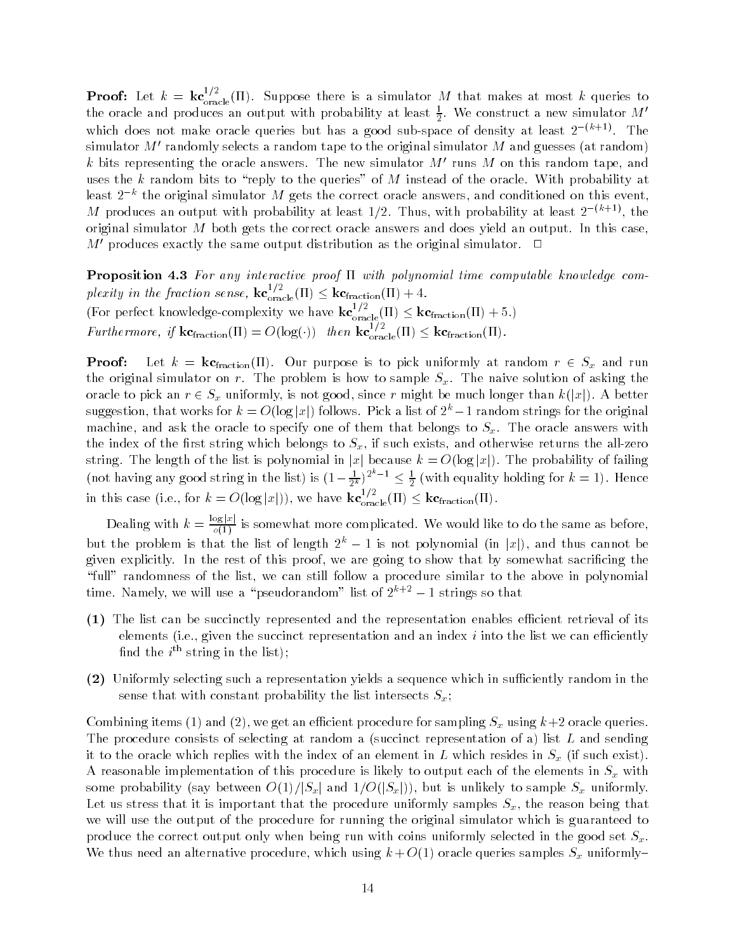**Proof:** Let  $k = \textbf{kc}_{\text{oracle}}^{\text{c}}(1)$ . Suppose there is a simulator M that makes at most k queries to the oracle and produces an output with probability at least  $\frac{1}{2}$ . We construct a new simulator  $M'$ which does not make oracle queries but has a good sub-space of density at least  $2^{-(k+1)}$ . The simulator  $M'$  randomly selects a random tape to the original simulator  $M$  and guesses (at random)  $k$  bits representing the oracle answers. The new simulator  $M'$  runs  $M$  on this random tape, and uses the  $k$  random bits to "reply to the queries" of  $M$  instead of the oracle. With probability at least  $2^{-k}$  the original simulator  $M$  gets the correct oracle answers, and conditioned on this event, M produces an output with probability at least 1/2. Thus, with probability at least  $2^{-(k+1)}$ , the original simulator  $M$  both gets the correct oracle answers and does yield an output. In this case,  $M'$  produces exactly the same output distribution as the original simulator.  $\Box$ 

Proposition - For any interactive proof with polynomial time computable know ledge com plexity in the fraction sense,  $k c_{\text{oracle}}^{\gamma, \gamma} (11) \leq k c_{\text{fraction}} (11) + 4.$ (For perfect knowledge-complexity we have  $k\mathbf{c}_{\text{oracle}}^{s}(\Pi) \leq k\mathbf{c}_{\text{fraction}}(\Pi) + 5$ .) Furthermore, if  $\text{kc}_{\text{fraction}}(H) = O(\log(\cdot))$  then  $\text{kc}_{\text{oracle}}^{<} (H) \leq \text{kc}_{\text{fraction}}^{(H)}$ .

Proof Let k kcfraction Our purpose is to pick uniformly at random <sup>r</sup> Sx and run the original simulator on r. The problem is how to sample  $S_x$ . The naive solution of asking the oracle to pick and the might be much since remaining that  $\Omega$  is not good since  $\Omega$  and  $\Omega$  between  $\Omega$ suggestion, that works for  $\kappa = O(\log |x|)$  follows. Pick a list of  $z^\ast - 1$  faildom strings for the original machine, and ask the oracle to specify one of them that belongs to  $S_x$ . The oracle answers with the index of the first string which belongs to  $S_x$ , if such exists, and otherwise returns the all-zero string the linguistic is the list is polynomial in july because  $\alpha$  . Of  $\alpha$  is probability of failing  $\alpha$ (not having any good string in the list) is  $(1-\frac{1}{2^k})^{2^k-1} \leq \frac{1}{2}$  (with equality holding for  $k=1$ ). Hence in this case (i.e., for  $k = O(\log |x|)$ ), we have  $k\mathbf{c}_{\text{oracle}}^{\text{a}}(H) \leq k\mathbf{c}_{\text{fraction}}(H)$ .

Dealing with  $k = \frac{\log |x|}{o(1)}$  is somewhat more complicated. We would like to do the same as before, but the problem is that the fist of length  $2^{\circ}$   $-$  1 is not polynomial (in  $|x|$ ), and thus cannot be given explicitly. In the rest of this proof, we are going to show that by somewhat sacrificing the "full" randomness of the list, we can still follow a procedure similar to the above in polynomial time. Namely, we will use a "pseudorandom" list of  $2^{n+\tau}-1$  strings so that

- (1) The list can be succinctly represented and the representation enables efficient retrieval of its elements into the success representation and into the success we can into the list we can economic the list we nnd the  $i^{**}$  string in the list);
- (2) Uniformly selecting such a representation yields a sequence which in sufficiently random in the sense that with constant probability the list intersects  $S_x$ ;

computer and items in the following computer for computer can computer of we conclude the computer oracle of the The procedure construction at random a list  $\mathcal{M}$  at random a list L and sending at random a list L and sending at random a list L and sending  $\mathcal{M}$ it to the oracle with replies with the index of an element in L which resides in  $\mathcal{N}$  , which resides in Sx  $\mathcal{N}$ A reasonable implementation of this procedure is likely to output each of the elements in  $S_x$  with some probability is understanding the original term of the sample of the sample of the sample of the sample sa Let us stress that it is important that the procedure uniformly samples  $S_x$ , the reason being that we will use the output of the procedure for running the original simulator which is guaranteed to produce the correct output only when being run with coins uniformly selected in the good set  $S_x$ . We thus need an alternative procedure which using k O oracle queries samples Sx uniformly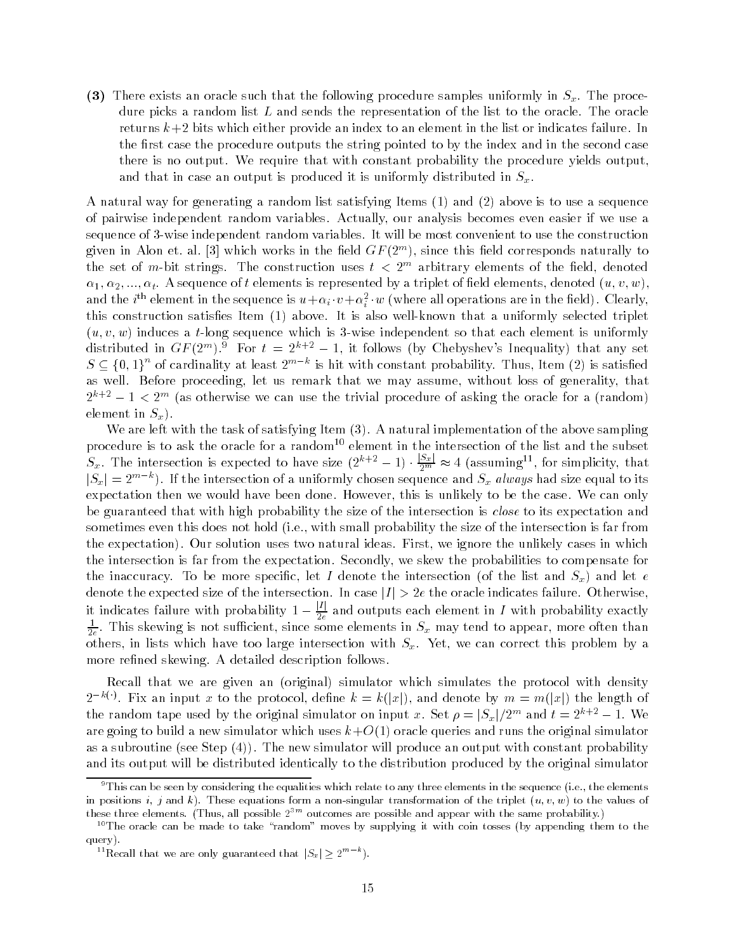$\mathcal{L}$  there exists an oracle such that the following procedure samples uniformly in Sx The procedure dure picks a random list  $L$  and sends the representation of the list to the oracle. The oracle returns  $k+2$  bits which either provide an index to an element in the list or indicates failure. In the first case the procedure outputs the string pointed to by the index and in the second case there is no output. We require that with constant probability the procedure yields output. and that in case an output is produced it is uniformly distributed in  $S_x$ .

 $\mathcal{A}$  and  $\mathcal{A}$  random list satisfying is to use a sequence is to use a sequence is to use a sequence is to use a sequence is to use a sequence is to use a sequence is to use a sequence is to use a sequence is to us of pairwise independent random variables Actually our analysis becomes even easier if we use a sequence of 3-wise independent random variables. It will be most convenient to use the construction given in Alon et. al. [5] which works in the held  $\mathbf{G} F$  (2  $\,$  ], since this held corresponds naturally to  $\,$ the set of  $m$ -bit strings. The construction uses  $t < 2^{m}$  arbitrary elements of the neig, denoted and the alternative of the section of the section of the contract of a triplet of the section of the section (  $\alpha$  ) and  $\beta$ and the  $i^\omega$  element in the sequence is  $u\!+\!\alpha_i\!\cdot\! v\!+\!\alpha_i^-\!\cdot\! w$  (where all operations are in the field). Clearly, this construction satisfies Item  $\{ \pi \}$  and the item that also well to measure the selected triplet us v w induces a time induces a time independent so that each element so that each element is uniformly if uniformly is uniformly if uniformly if  $\alpha$ distributed in  $GF(Z^{\sim})$  for  $t \equiv Z^{\sim}$  = 1, it follows (by Chebyshev's inequality) that any set  $S \subseteq \{0,1\}^n$  of cardinality at least  $2^{m-k}$  is hit with constant probability. Thus, Item (2) is satisfied as well. Before proceeding, let us remark that we may assume, without loss of generality, that  $2^{n+1} = 1 \leq 2^m$  (as otherwise we can use the trivial procedure of asking the oracle for a (random)  $$ element in  $S_x$ ).

with the task of the task of satisfying Item  $\{x_i\}$  . It must be above sampling the above sampling  $\Delta$ procedure is to ask the oracle for a random<sup>--</sup> element in the intersection of the list and the subset  $S_x$ . The intersection is expected to have size  $(2^{k+2} - 1) \cdot \frac{|S_x|}{2^m}$  $\frac{1}{2^m} \approx 4$  (assuming  $\degree$ , for simplicity, that  $|S_x| = 2^{m-k}$ ). If the intersection of a uniformly chosen sequence and  $S_x$  always had size equal to its expectation then we would have been done. However, this is unlikely to be the case. We can only be guaranteed that with high probability the size of the intersection is *close* to its expectation and is does the some this does not hold probability the small probability the size of the size of the intersection the expectation). Our solution uses two natural ideas. First, we ignore the unlikely cases in which the intersection is far from the expectation. Secondly, we skew the probabilities to compensate for the inaccuracy To be more specific let I denote the intersection (i.e. intersection  $\omega_{\mu}$  and let e denote the expected size of the intersection In case jI <sup>j</sup> - e the oracle indicates failure Otherwise it indicates failure with probability  $1 - \frac{|I|}{2e}$  and outputs each element in  $I$  with probability exactly  $\frac{1}{2e}$ . This skewing is not sufficient, since some elements in  $S_x$  may tend to appear, more often than others in lists which have too large intersection with Sx Yet we can correct this problem by a correct this problem by a correct this problem by a correct this problem by a correct this problem by a correct this problem b more refined skewing. A detailed description follows.

recall that we are given an incogniting that which with the protocol with density and the protocol with density  $2^{-k(\cdot)}$ . Fix an input x to the protocol, define  $k = k(|x|)$ , and denote by  $m = m(|x|)$  the length of the random tape used by the original simulator on input  $x$  . Set  $\rho=|S_x|/2^m$  and  $t=2^{m+\epsilon}-1$  . We are going to build a new simulator which uses kopper the original simulator and runs the original simulator or as a subroutine in the new simulator will produce an output will produce an output will probability with const and its output will be distributed identically to the distribution produced by the original simulator

 $\degree$  I his can be seen by considering the equalities which relate to any three elements in the sequence (i.e., the elements in positions i<sub>f</sub> and k These equations form a non-singular transformation of the triplet  $\{u\}$  of the values of these three elements. (Thus, all possible  $2^{cm}$  outcomes are possible and appear with the same probability.)

 $10$ The oracle can be made to take "random" moves by supplying it with coin tosses (by appending them to the query).

 $\Gamma$  Recall that we are only guaranteed that  $|S_x| \geq 2^{n}$  ").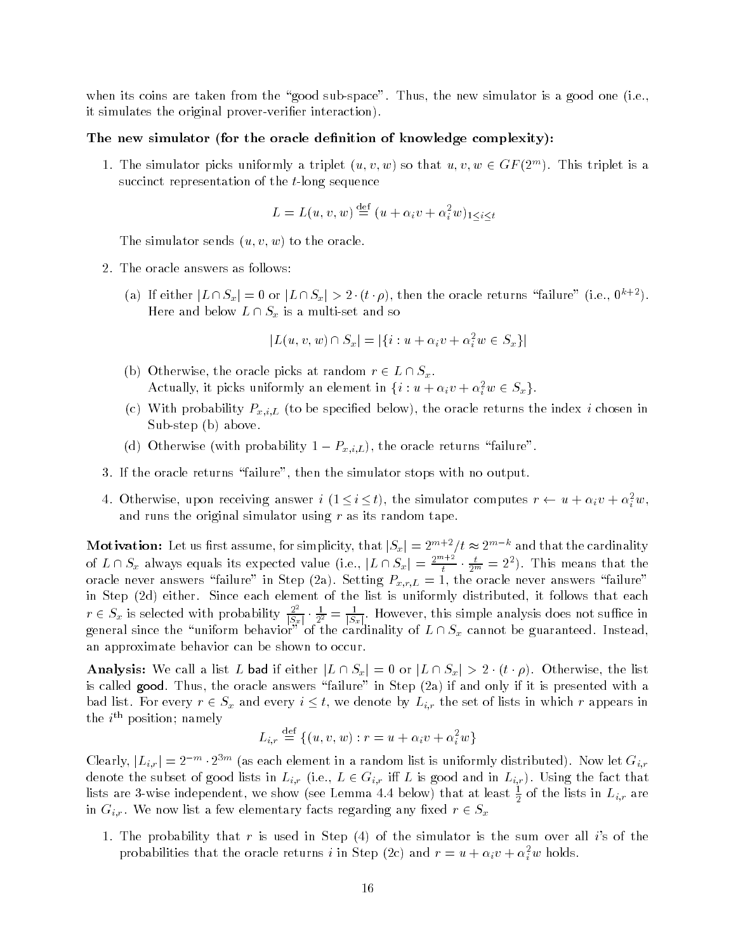when its coins are the decide the good subspace the subspace one simulator is good the press it simulates the original prover-verifier interaction).

### The new simulator (for the oracle definition of knowledge complexity):

1. The simulator picks uniformly a triplet  $(u, v, w)$  so that  $u, v, w \in \text{GF}(2^{**})$ . This triplet is a succinct representation of the  $t$ -long sequence

$$
L = L(u, v, w) \stackrel{\text{def}}{=} (u + \alpha_i v + \alpha_i^2 w)_{1 \leq i \leq t}
$$

u v w to the simulation of the oracle sends the oracle or the oracle or the oracle or the oracle or the oracle

- 2. The oracle answers as follows:
	- (a) if either  $|L \cap S_x| = 0$  or  $|L \cap S_x| > 2 \cdot (\iota \cdot \rho)$ , then the oracle returns "failure" (i.e.,  $0^{n+1}$ ). Here and below  $L \cap S_x$  is a multi-set and so

$$
|L(u, v, w) \cap S_x| = |\{i : u + \alpha_i v + \alpha_i^2 w \in S_x\}|
$$

- b Otherwise the oracle picks at random r L Sx Actually, it picks uniformly an element in  $\{i : u + \alpha_i v + \alpha_i w \in S_x\}$ .
- to be specied below the index index index index index index index index index index index index index index index index index index index index index index index index index index index index index index index index index Sub step b above
- $\mathcal{N}$  -coracle returns for order  $\mathcal{N}$  , and  $\mathcal{N}$  the oracle returns failure returns failure
- 3. If the oracle returns "failure", then the simulator stops with no output.
- 4. Otherwise, upon receiving answer  $i \mid 1 \leq i \leq t$ ), the simulator computes  $r \leftarrow u + \alpha_i v + \alpha_{\bar{i}} w,$ and runs the original simulator using  $r$  as its random tape.

**Motivation:** Let us first assume, for simplicity, that  $|S_x| = 2^{m+2}/t \approx 2^{m-k}$  and that the cardinality of  $L \cap S_x$  always equals its expected value (i.e.,  $|L \cap S_x| = \frac{2^{m+2}}{t}$ .  $\frac{1}{t}$   $\cdot$   $\frac{1}{2^m}$  = 2<sup>-</sup>). This means that the oracle never answers failure in Step (Tay) we step  $\rho$  - with  $\mu$  and oracle never answers failure in Step (Tay) in Step Step each distributed in Since each element of the list is uniformly distributed it follows that each e  $r \in S_x$  is selected with probability  $\frac{2^2}{|S_x|} \cdot \frac{1}{2^2} = \frac{1}{|S_x|}$ . However, this simple analysis does not suffice in  $\Theta$  and the uniform behavior of the cardinality of L  $\alpha$  cannot be  $\Theta$  and the canonical Instead an approximate behavior can be shown to occur

 $\text{Aut}(X)$  and  $\text{Aut}(X)$  are list  $\text{Aut}(X)$  in the list of  $\text{Aut}(X)$  or  $\text{Aut}(X)$  or  $\text{Aut}(X)$  and  $\text{Aut}(X)$ is called growt final the oracle answers failure in Step (failure chi) if it is presented with a bad list. For every  $r \in S_x$  and every  $i \leq t$ , we denote by  $L_{i,r}$  the set of lists in which r appears in  $\mathop{\mathrm{true}}$   $i$  " position; namely

$$
L_{i,r} \stackrel{\text{def}}{=} \{(u,v,w) : r = u + \alpha_i v + \alpha_i^2 w\}
$$

Clearly,  $|L_{i,r}| = 2^{-m} \cdot 2^{3m}$  (as each element in a random list is uniformly distributed). Now let  $G_{i,r}$ denote the subset of good lists in Lir  $\alpha$  is good and in Lir  $\alpha$  in Lir  $\alpha$  in Lir  $\alpha$  and  $\alpha$  in Lir  $\alpha$ lists are 3-wise independent, we show (see Lemma 4.4 below) that at least  $\frac{1}{2}$  of the lists in  $L_{i,r}$  are in  $G_{i,r}$ . We now list a few elementary facts regarding any fixed  $r \in S_x$ 

The probability that results that results that results in Step  $\mathbb{R}^n$  , the sum over all isothermore, the sum over all isothermore, the sum over all isothermore, the sum over all isothermore, the sum over all isotherm probabilities that the oracle returns  $i$  in Step (2c) and  $r = u + \alpha_i v + \alpha_{\bar{i}} w$  holds.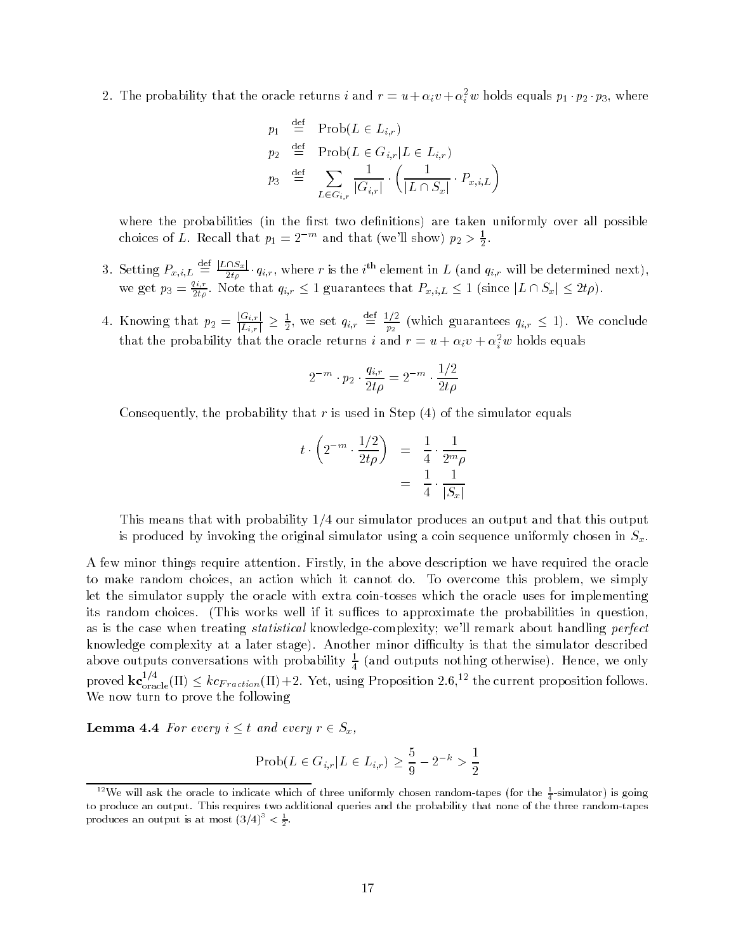2. The probability that the oracle returns  $\imath$  and  $r = u + \alpha_i v + \alpha_i^\tau w$  holds equals  $p_1 \cdot p_2 \cdot p_3,$  where

$$
p_1 \stackrel{\text{def}}{=} \text{Prob}(L \in L_{i,r})
$$
  
\n
$$
p_2 \stackrel{\text{def}}{=} \text{Prob}(L \in G_{i,r} | L \in L_{i,r})
$$
  
\n
$$
p_3 \stackrel{\text{def}}{=} \sum_{L \in G_{i,r}} \frac{1}{|G_{i,r}|} \cdot \left(\frac{1}{|L \cap S_x|} \cdot P_{x,i,L}\right)
$$

where the probabilities plus in the rest two denitions are the constrainty over all possible to choices of L. Recall that  $p_1 = 2^{-m}$  and that (we'll show)  $p_2 > \frac{1}{2}$ .

- 3. Setting  $P_{x,i,L} \stackrel{\text{def}}{=} \frac{|L \cap S_x|}{2t\rho} \cdot q_{i,r}$ , where r is the  $i^{\text{th}}$  element in  $L$  (and  $q_{i,r}$  will be determined next), we get  $p_3=\frac{z_{1i}}{2t\rho}$ . Note that  $q_{i,r}\leq 1$  guarantees that  $P_{x,i,L}\leq 1$  (since  $|L\cap S_x|\leq 2t\rho$ ).
- 4. Knowing that  $p_2 = \frac{|G_{i,r}|}{|L|}$ .  $\frac{d}{|L_{i,r}|} \geq \frac{1}{2}$ , we set  $q_{i,r} \equiv \frac{d}{p_2}$  (w  $p_2$  which guarantees  $p_2$  is not expected by  $\frac{1}{2}$  in  $\frac{1}{2}$  is not expected by  $\frac{1}{2}$  is not expected by  $\frac{1}{2}$  is not expected by  $\frac{1}{2}$  is not expected by  $\frac{1}{2}$  is not expected by  $\frac{1}{2}$  is no that the probability that the oracle returns  $\imath$  and  $r = u + \alpha_i v + \alpha_{\bar{i}} w$  holds equals

$$
2^{-m} \cdot p_2 \cdot \frac{q_{i,r}}{2t\rho} = 2^{-m} \cdot \frac{1/2}{2t\rho}
$$

Consequently the probability that r is used in Step of the simulator equals

$$
t \cdot \left(2^{-m} \cdot \frac{1/2}{2t\rho}\right) = \frac{1}{4} \cdot \frac{1}{2^m \rho}
$$

$$
= \frac{1}{4} \cdot \frac{1}{|S_x|}
$$

This means that with probability  $1/4$  our simulator produces an output and that this output is produced by invoking the original simulator using a coin sequence uniformly chosen in  $S_x$ .

A few minor things require attention Firstly in the above description we have required the oracle to make random choices, an action which it cannot do. To overcome this problem, we simply let the simulator supply the oracle with extra coin-tosses which the oracle uses for implementing its random choices This works well if it suces to approximate the probabilities in question as is the case when treating *statistical* knowledge-complexity; we'll remark about handling *perfect* knowledge complexity at a later stage). Another minor difficulty is that the simulator described above outputs conversations with probability  $\frac{1}{4}$  (and outputs nothing otherwise). Hence, we only proved  $\textbf{kc}_{oracle}^{++}(II) \leq k c_{Fraction}(II) + 2$ . Yet, using Proposition 2.6,<sup>12</sup> the current proposition follows. We now turn to prove the following

**Lemma 4.4** For every  $i \leq t$  and every  $r \in S_x$ ,

$$
Prob(L \in G_{i,r} | L \in L_{i,r}) \ge \frac{5}{9} - 2^{-k} > \frac{1}{2}
$$

we will ask the oracle to indicate which of three uniformly chosen random tapes (for the  $\frac{1}{4}$ -simulator) is going to produce an output. This requires two additional queries and the probability that none of the three random-tapes produces an output is at most  $(3/4)^\circ \leq \frac{1}{2}$ .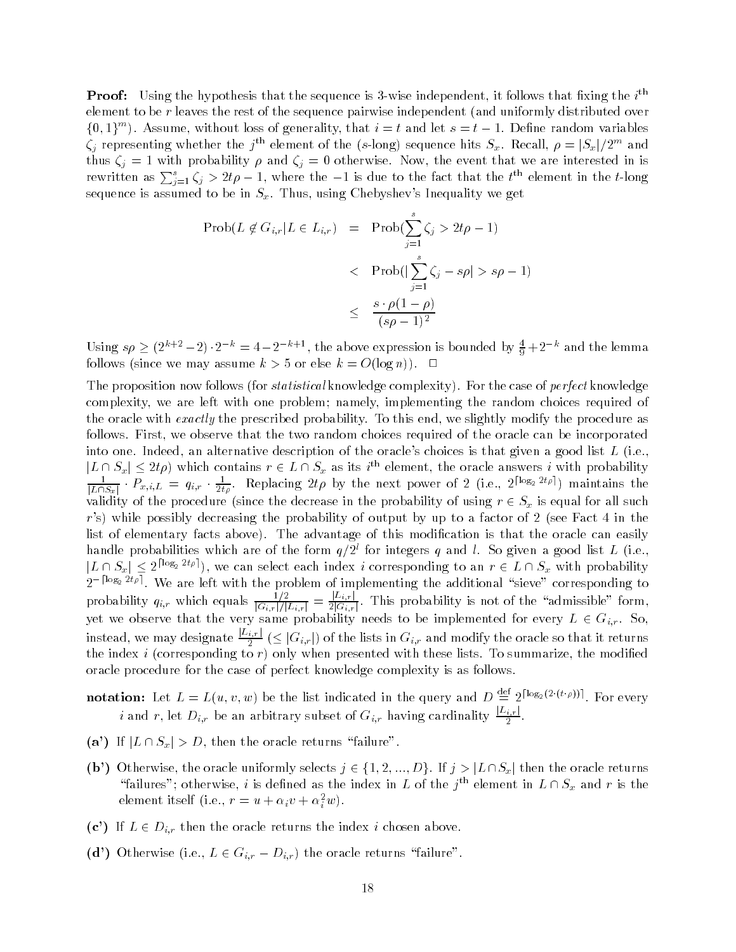**Proof:** Using the hypothesis that the sequence is 3-wise independent, it follows that fixing the  $i^{\ldots}$ element to be r leaves the rest of the sequence pairwise independent and uniformly distributed over  $\{0, 1\}$  ). Assume, without loss of generality, that  $i = t$  and let  $s = t - 1$ . Define random variables  $\zeta_j$  representing whether the  $j$  "element of the (s-long) sequence hits  $S_x$ . Recall,  $\rho=|S_x|/Z^m$  and thus  $\zeta_j = 1$  with probability  $\rho$  and  $\zeta_j = 0$  otherwise. Now, the event that we are interested in is rewritten as  $\sum_{j=1}^{s} \zeta_j > 2t\rho - 1$ , where the  $-1$  is due to the fact that the  $t^{\text{th}}$  element in the  $t$ -long sequence is assumed to be in  $S_x$ . Thus, using Chebyshev's Inequality we get

$$
\begin{array}{rcl}\n\text{Prob}(L \notin G_{i,r} | L \in L_{i,r}) & = & \text{Prob}\left(\sum_{j=1}^{s} \zeta_j > 2t\rho - 1\right) \\
&< & \text{Prob}\left(\left|\sum_{j=1}^{s} \zeta_j - s\rho\right| > s\rho - 1\right) \\
&< & \frac{s \cdot \rho(1-\rho)}{(s\rho - 1)^2}\n\end{array}
$$

Using  $s\rho \geq (2^{k+2}-2) \cdot 2^{-k} = 4-2^{-k+1}$ , the above expression is bounded by  $\frac{4}{9}+2^{-k}$  and the lemma follows follows as  $\alpha$  assumed k  $\alpha$  or  $\alpha$  as  $\alpha$  or  $\alpha$  . The  $\alpha$ 

The proposition now follows for statistical knowledge complexity For the case of perfect knowledge complexity, we are left with one problem; namely, implementing the random choices required of the oracle with *exactly* the prescribed probability. To this end, we slightly modify the procedure as follows. First, we observe that the two random choices required of the oracle can be incorporated into one Indeed an alternative description of the oracles choices is that given a good list L ie  $\vert L \cap S_x \vert \leq z \iota \rho$  which contains  $r \in L \cap S_x$  as its  $i^{\ldots}$  element, the oracle answers  $i$  with probability  $\frac{1}{|L\cap S_x|}\cdot P_{x,i,L} = q_{i,r}\cdot \frac{1}{2t\rho}$ . Replacing  $2t\rho$  by the next power of 2 (i.e.,  $2^{\lceil \log_2 2t\rho \rceil}$ ) maintains the validity of the probability of using reasons in the probability of using reasons in the probability of using r rs while possibly decreasing the probability or output by up to a factor or - (see Fact of the theory) list of elementary facts above). The advantage of this modification is that the oracle can easily mandle probabilities which are of the form  $q/z$  for integers  $q$  and  $i$ . So given a good list  $L$  (i.e.,  $|L \cap S_x| \le 2^{\lceil \log_2 2t\rho \rceil}$ , we can select each index i corresponding to an  $r \in L \cap S_x$  with probability  $2^{-\lceil \log_2 2t \rho \rceil}$ . We are left with the problem of implementing the additional "sieve" corresponding to probability  $q_{i,r}$  which equals  $\frac{1/2}{|G_{i,r}|/|L_{i,r}|} = \frac{|L_{i,r}|}{2|G_{i,r}|}.$  $\frac{1}{2|G_{i,r}|}$ . This probability is not of the admissible form,  $y$ et we observe that the very same probability needs to be implemented for every  $\equiv$   $\in$   $\cup$   $\cup$   $\in$   $\gamma$ instead, we may designate  $\frac{|L_{i,r}|}{2}$  (  $\leq |G_{i,r}|$ ) of the lists in  $G_{i,r}$  and modify the oracle so that it returns the index index index index index index index in  $\mathbb{R}^n$  . These lists To summarize the modied with the modied with the modied with the modied with the modied with the modied with the modied with the modied with the mo oracle procedure for the case of perfect knowledge complexity is as follows

notation: Let  $L = L(u, v, w)$  be the list indicated in the query and  $D \stackrel{\text{def}}{=} 2^{\lceil \log_2(2 \cdot (t \cdot \rho)) \rceil}$ . For every i and r, let  $D_{i,r}$  be an arbitrary subset of  $G_{i,r}$  having cardinality  $\frac{|L_{i,r}|}{2}$ . -

- $\mathcal{N}$  is the oracle returns failure returns failure returns failure returns failure returns failure returns failure
- $\lambda$  is a constructed the oracle uniformly selected  $J$  . For initial in the  $J$  is a factor oracle returns or the oracle returns in "failures"; otherwise,  $i$  is defined as the index in  $L$  of the  $j$  " element in  $L \cap S_x$  and  $r$  is the element itself (i.e.,  $r = u + \alpha_i v + \alpha_{\bar{i}} w$ ).
- (c') If  $L \in D_{i,r}$  then the oracle returns the index *i* chosen above.
- $\sum_{i=1}^n a_i$  is considered in the oracle returns failure returns failure  $\sum_{i=1}^n a_i$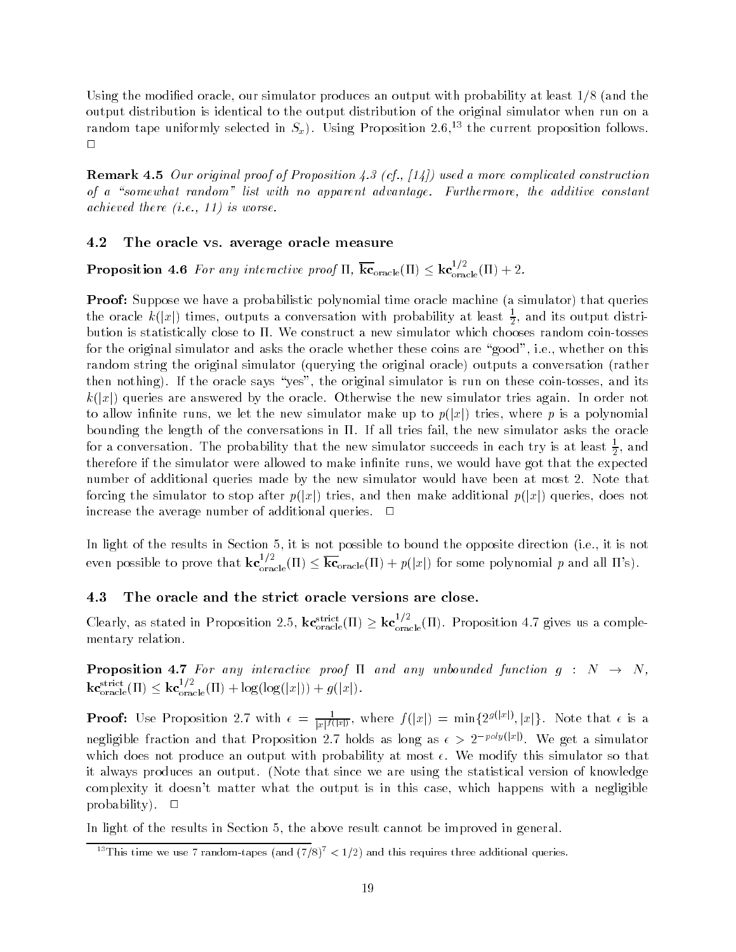Using the modification of the modification produces and the modification produces at least  $\pi_i$  using the state output distribution is identical to the output distribution of the original simulator when run on a random tape uniformly selected in  $S_x$ ). Using Proposition 2.6,<sup>13</sup> the current proposition follows.  $\Box$ 

**Remark 4.5** Our original proof of Proposition 4.3 (cf., [14]) used a more complicated construction of a somewhat random is the advantage Furthermore that random is a somewhat random is a somewhat random is a s achieved there  $(i.e., 11)$  is worse.

#### 4.2 The oracle vs. average oracle measure

**Proposition 4.6** For any interactive proof  $H$ ,  $k\mathbf{c}_{oracle}(H) \leq k\mathbf{c}_{oracle}^{'}(H) + 2$ .

simulator we have a simulator polynomial time oracle machine time oracle machine and the simulation of the simu the oracle  $\kappa(|x|)$  times, outputs a conversation with probability at least  $\frac{1}{2},$  and its output distribution is statistically close to  $\Pi$ . We construct a new simulator which chooses random coin-tosses for the original simulator and asks the oracle whether these coins are "good", i.e., whether on this random string the original simulator original simulator and the original original original original original o then nothing). If the oracle says "yes", the original simulator is run on these coin-tosses, and its k jxj queries are answered by the oracle Otherwise the new simulator tries again In order not to allow interests runsing we let the new simulatories make up to papelly college where p is a polynomial cont bounding the length of the conversations in  $\Pi$ . If all tries fail, the new simulator asks the oracle for a conversation. The probability that the new simulator succeeds in each try is at least  $\frac{1}{2},$  and therefore if the simulator were allowed to make innite runs we would have got that the expected that the expected that the expected that the expected that the expected that the expected that the expected that the expected number of additional queries made by the new simulator would have been at most 2. Note that forcing the simulator to stop after p jxj tries and then make additional p jxj queries does not increase the average number of additional queries.  $\Box$ 

in light of the results in Section of the mac possible to Section the opposite measurement for it is not to a even possible to prove that  $k\mathbf{c}_{\text{oracle}}^{-1}(H) \leq k\mathbf{c}_{\text{oracle}}(H) + p(|x|)$  for some polynomial p and all  $H$ 's).

### 4.3 The oracle and the strict oracle versions are close.

Clearly, as stated in Proposition 2.5,  $k\mathbf{c}_{\text{oracle}}^{\text{source}}(H) \geq k\mathbf{c}_{\text{oracle}}^{\text{cr}}(H)$ . Proposition 4.7 gives us a complementary relation

**Proposition 4.7** For any interactive proof  $\Pi$  and any unbounded function  $g : N \rightarrow N$ ,  $\text{kc}_{\text{oracle}}^{\text{surface}}(H) \leq \text{kc}_{\text{oracle}}^{\text{'}'}(H) + \log(\log(|x|)) + g(|x|).$ 

**Proof:** Use Proposition 2.7 with  $\epsilon = \frac{1}{|x|f(|x|)}$ , where  $f(|x|) = \min\{2^{g(|x|)}, |x|\}$ . Note that  $\epsilon$  is a negligible fraction and that Proposition 2.7 holds as long as  $\epsilon > 2^{-poly(|x|)}$ . We get a simulator which does not produce an output with probability at most  $\epsilon$ . We modify this simulator so that it always produces an output Note that since we are using the statistical version of knowledge complexity it doesn't matter what the output is in this case, which happens with a negligible probability).  $\square$ 

In light of the results in Section 5, the above result cannot be improved in general.

 $\degree$  This time we use 7 random-tapes (and (7/8)  $\leq$  1/2) and this requires three additional queries.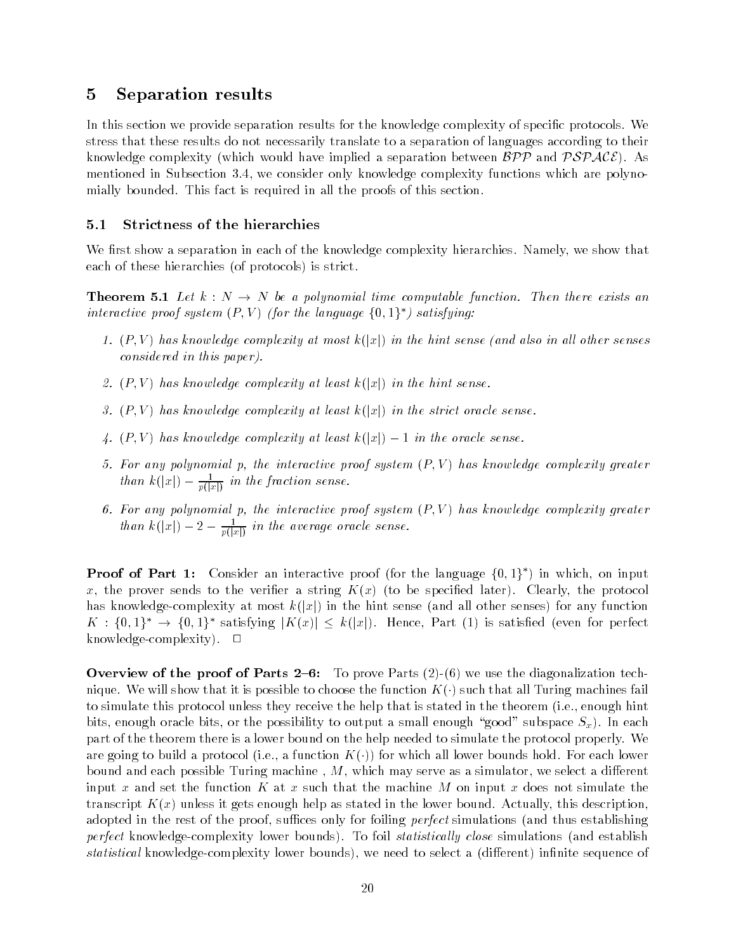# 5 Separation results

In this section we provide separation results for the knowledge complexity of specific protocols. We stress that these results do not necessarily translate to a separation of languages according to their knowledge complexity which would have implied a separation between BPP and PSPACE As mentioned in Subsection 3.4, we consider only knowledge complexity functions which are polynomially bounded. This fact is required in all the proofs of this section.

### 5.1 Strictness of the hierarchies

We first show a separation in each of the knowledge complexity hierarchies. Namely, we show that each of these missions is protocols in stricts.

**Theorem 5.1** Let  $k : N \to N$  be a polynomial time computable function. Then there exists an interactive proof system  $(P, V)$  (for the language  $\{0, 1\}^*$ ) satisfying:

- P V has know ledge complexity at most k jxj in the hint sense and also in al l other senses considered in this paper
- P V has know ledge complexity at least k jxj in the hint sense
- P V has know ledge complexity at least k jxj in the strict oracle sense
- in the complexity at least the oracle sense in the oracle sense in the oracle sense in the oracle sense in the
- For any polynomial p the interactive proof system P V has know ledge complexity greater  $\lim_{n\to\infty}$   $\kappa(|x|)$  -  $\frac{1}{p(|x|)}$  in the fraction sense.
- For any polynomial p the interactive proof system P V has know ledge complexity greater than  $\kappa(|x|) - 2 - \frac{1}{p(|x|)}$  in the average oracle sense.

**Proof of Part 1:** Consider an interactive proof (for the language  $\{0,1\}$  ) in which, on input x the prover sends to the verier a string K x to be specied later Clearly the protocol has knowledge complexity at most k jxj in the hint sense and all other senses for any function  $K: \{0,1\}^* \to \{0,1\}^*$  satisfying  $|K(x)| \leq k(|x|)$ . Hence, Part (1) is satisfied (even for perfect knowledge-complexity).  $\square$ 

over the contract of the parts of  $\mathbb{R}^n$  , the diagonalization technology and  $\mathbb{R}^n$ nique We will show that it is possible to choose that it is possible to choose that all Turing machines fails w to simulate this protocol unless they receive the help that is stated in the theorem ie enough hint bits, enough oracle bits, or the possibility to output a small enough "good" subspace  $S_x$ ). In each part of the theorem there is a lower bound on the help needed to simulate the protocol properly We are going to build a protocol (itself a function frequency all lower all lower bounds from the collection of bound and each possible Turing machine M which may serve as a simulator we select a di-erent input x and set the function K at x such that the machine M on input x does not simulate the transcript AP (will address it gives the aget help as stated in the lower bound Actually this description of adopted in the rest of the proof suites only for foiling perfect simulations (simulations in thus establishing perfect knowledge complexity lower bounds To foil statistically close simulations and establish statistical knowledge complexity lower bounds we need to select a painter in the select as a complex of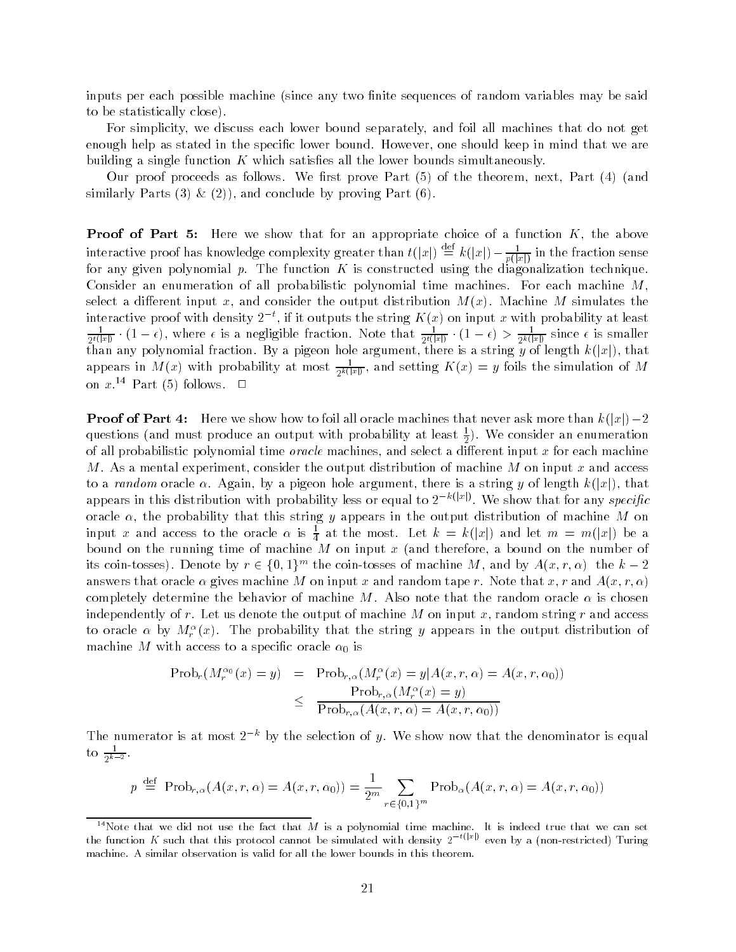inputs per each possible machine since any two nite sequences of random variables may be said to be statistically close

For simplicity, we discuss each lower bound separately, and foil all machines that do not get enough help as stated in the specific lower bound. However, one should keep in mind that we are building a single function K which satisfies all the lower bounds simultaneously.

Our proof proceeds as follows We rst prove Part of the theorem next Part and similarly parts in the finite boundary of  $\mathbb{R}^n$  , we have  $\mathbb{R}^n$  and  $\mathbb{R}^n$ 

Proof of Part Here we show that for an appropriate choice of a function K the above interactive proof has knowledge complexity greater than  $t(|x|) \equiv k(|x|) - \frac{1}{p(|x|)}$  in the fraction sense for any given polynomial p The function K is constructed using the diagonalization technique Consider an enumeration of all probabilistic polynomial time machines. For each machine  $M$ . essel a di-minimation input and consider the output distribution me paper simulates the distribution for the o interactive proof with density  $2^{-t}$ , if it outputs the string  $K(x)$  on input x with probability at least  $\frac{1}{2^{t}(\lceil x \rceil)} \cdot (1-\epsilon),$  where  $\epsilon$  is a negligible fraction. Note that  $\frac{1}{2^{t}(\lceil x \rceil)} \cdot (1-\epsilon) > \frac{1}{2^{k}(\lceil x \rceil)}$  since  $\epsilon$  is smaller than any polynomial fraction By a pigeon hole argument there is a string y of length k jxj that appears in M(x) with probability at most  $\frac{1}{2k(x+1)}$ , and setting  $K(x) = y$  foils the simulation of M on  $x$   $\cdot$   $\cdot$  Part (b) follows.  $\Box$ 

, prose to part all oracle machines that is the machinest more than that never as the control of  $\mathbb{P}^1$ questions and must produce an output with probability at least We consider an enumeration of all probabilistic polynomial time oracle machines and select a di-erent input x for each machine M. As a mental experiment, consider the output distribution of machine M on input x and access to a random oracle  $\alpha$  argument that argument there is a string y of length kinetic variable  $\alpha$ appears in this distribution with probability less or equal to  $2^{-k(|x|)}$ . We show that for any specific oracle  $\alpha$ , the probability that this string y appears in the output distribution of machine M on input x and access to the oracle  $\alpha$  is  $\frac{1}{4}$  at the most. Let  $k \, = \, k(|x|)$  and let  $m \, = \, m(|x|)$  be a  $\mathbf{M}$  and the running time of machine  $\mathbf{M}$  on the number of machine a bound on the number of machine number of  $\mathbf{M}$ Its coin-tosses). Denote by  $r \in \{0,1\}^{\infty}$  the coin-tosses of machine M, and by  $A(x,r,\alpha)$  the  $\kappa = z$ answers that oracle  $\mathbf r$  is an oracle  $\mathbf r$  and  $\mathbf r$  and  $\mathbf r$  and  $\mathbf r$  and  $\mathbf r$  and  $\mathbf r$  and  $\mathbf r$  and  $\mathbf r$  and  $\mathbf r$  and  $\mathbf r$  and  $\mathbf r$  and  $\mathbf r$  and  $\mathbf r$  and  $\mathbf r$  and  $\mathbf r$  and  $\mathbf r$  and  $\mathbf r$ completely determine the behavior of machine M. Also note that the random oracle  $\alpha$  is chosen independently of r. Let us denote the output of machine M on input x, random string r and access to oracle  $\alpha$  by  $M_r$  (x). The probability that the string y appears in the output distribution of machine M with a species to a species to a species of the species of the species of the species of the species

$$
\begin{array}{rcl}\n\text{Prob}_r(M_r^{\alpha_0}(x) = y) & = & \text{Prob}_{r,\alpha}(M_r^{\alpha}(x) = y | A(x, r, \alpha) = A(x, r, \alpha_0)) \\
& \leq & \frac{\text{Prob}_{r,\alpha}(M_r^{\alpha}(x) = y)}{\text{Prob}_{r,\alpha}(A(x, r, \alpha) = A(x, r, \alpha_0))}\n\end{array}
$$

The numerator is at most  $2^{-k}$  by the selection of y. We show now that the denominator is equal to  $\frac{1}{2^{k-2}}$ .

$$
p \stackrel{\text{def}}{=} \text{Prob}_{r,\alpha}(A(x,r,\alpha)) = A(x,r,\alpha_0) = \frac{1}{2^m} \sum_{r \in \{0,1\}^m} \text{Prob}_{\alpha}(A(x,r,\alpha)) = A(x,r,\alpha_0)
$$

<sup>&</sup>lt;sup>14</sup>Note that we did not use the fact that M is a polynomial time machine. It is indeed true that we can set the function K such that this protocol cannot be simulated with density 2  $\sim$  even by a (non-restricted) Turing machine. A similar observation is valid for all the lower bounds in this theorem.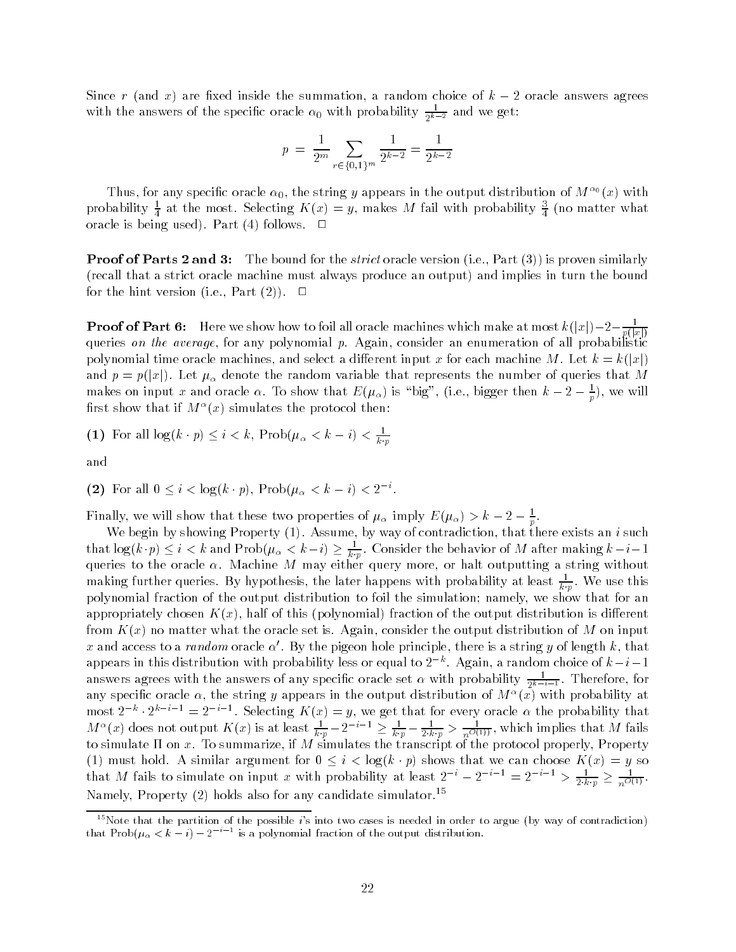Since r and x are xed inside the summation a random choice of k -  oracle answers agrees with the answers of the specific oracle  $\alpha_0$  with probability  $\frac{1}{2k-2}$  and we get:

$$
p = \frac{1}{2^m} \sum_{r \in \{0,1\}^m} \frac{1}{2^{k-2}} = \frac{1}{2^{k-2}}
$$

Thus, for any specific oracle  $\alpha_0$ , the string y appears in the output distribution of  $M^{-\sigma}(x)$  with probability  $\frac{1}{4}$  at the most. Selecting  $K\left( x\right) =y,$  makes  $M$  fail with probability  $\frac{2}{4}$  (no matter what orwere no semplated part is well professed.

Proof of Parts and - The bound for the strict oracle version ie Part is proven similarly recall that a strict oracle machine must always produce an output and implies in turn the bound for the hint version ie Part 

**Proof of Part 6:** Here we show how to foll all oracle machines which make at most  $k(|x|) - 2 - \frac{1}{p(|x|)}$ queries on the average, for any polynomial  $p$ . Again, consider an enumeration of all probabilistic polynomial time oracle machines and select a dimensional map at a di-war formation of the control of  $\{u\}$ and property and put in the representation variable that represents the multiple that  $\eta$  and the number of  $\eta$ makes on input x and oracle  $\alpha$ . To show that  $E(\mu_\alpha)$  is "big", (i.e., bigger then  $\kappa - z - \frac{1}{\pi}$ ), we will p  $\limsup$  show that if  $M^-(x)$  simulates the protocol then:

(1) For all  $\log(k \cdot p) \leq i < k$ ,  $\text{Prob}(\mu_{\alpha} < k - i) < \frac{1}{k \cdot p}$ 

and

(2) For all 
$$
0 \leq i < \log(k \cdot p)
$$
,  $\text{Prob}(\mu_{\alpha} < k - i) < 2^{-i}$ .

Finally, we will show that these two properties of  $\mu_\alpha$  imply  $E(\mu_\alpha) > k - 2 - \frac{1}{p}$ .

we begin by showing Property (E) contradiction that the contradiction that the exists and there exists that log(k  $\cdot p$ )  $\leq$   $i < k$  and Prob( $\mu_{\alpha} < \kappa - i$ )  $\geq \frac{1}{k \cdot p}$ . Consider the behavior of M after making  $\kappa - i - 1$ queries to the oracle in machine may may either query more or half or half or half or half without making further queries. By hypothesis, the later happens with probability at least  $\overline{k,p}$  . We use this polynomial fraction of the output distribution to foil the simulation; namely, we show that for an appropriately chosen K x half of this polynomial fraction of the output distribution is di-erent from K x no matter what the oracle set is Again consider the output distribution of M on input x and access to a *random* oracle  $\alpha'$ . By the pigeon hole principle, there is a string y of length k, that appears in this distribution with probability less or equal to  $2^{-k}$ . Again, a random choice of  $k-i-1$ answers agrees with the answers of any specific oracle set  $\alpha$  with probability  $\frac{1}{2^{k-i}-1}$ . Therefore, for any specific oracle  $\alpha$ , the string y appears in the output distribution of  $M^{\alpha}(\tilde{x})$  $x_1, y_1, y_2, \ldots, y_n$  is a single supplied in the experimental term (a) with probability that  $x_1, y_2, \ldots, y_n$  and  $y_1, y_2, \ldots, y_n$  $M^{\alpha}(x)$  does not output  $K(x)$  is at least  $\frac{1}{k \cdot p} - 2^{-i-1} \ge \frac{1}{k \cdot p} - \frac{1}{2 \cdot k \cdot p} > \frac{1}{n^{O(1)}}$ , which implies that M fails to simulate on x To summarize if M simulates the transcript of the protocol properly Property must hold A similar argument for  $\mu$  in the canonical choose K  $\mu$  so  $\mu$  so  $\mu$ that M fails to simulate on input x with probability at least  $2^{-i} - 2^{-i-1} = 2^{-i-1} > \frac{1}{2 \cdot k \cdot p} \ge \frac{1}{n^{O(1)}}$ . Namely, Property  $(2)$  noids also for any candidate simulator.  $\tilde{\ }$ 

<sup>&</sup>lt;sup>15</sup>Note that the partition of the possible *i*'s into two cases is needed in order to argue (by way of contradiction) that Prob( $\mu_{\alpha} < k - i$ )  $-2$  is a polynomial fraction of the output distribution.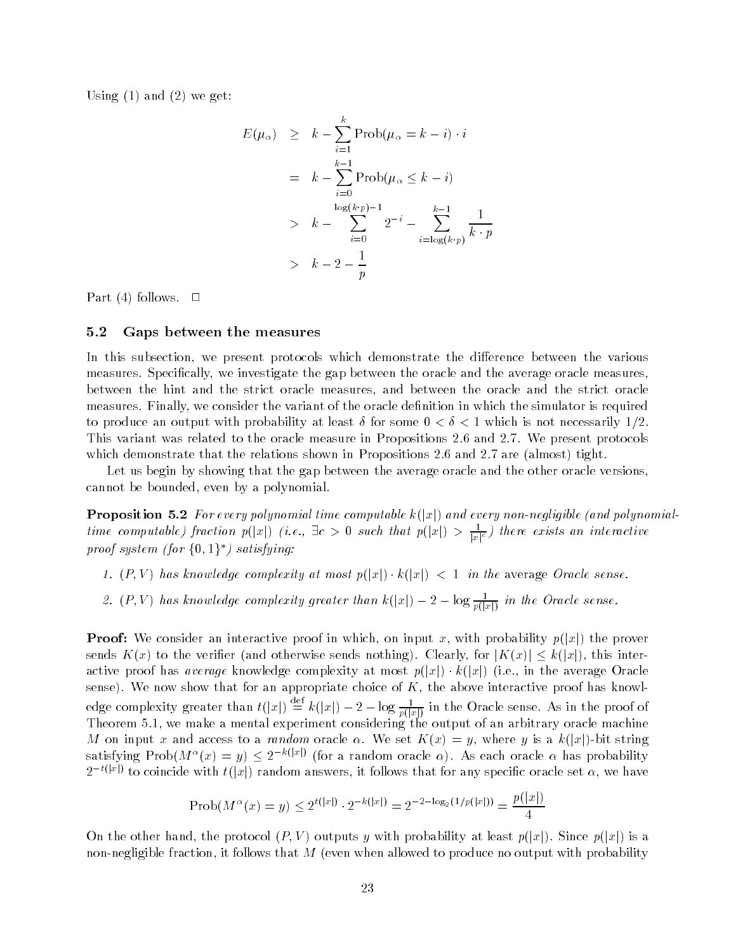Using and  we get

$$
E(\mu_{\alpha}) \geq k - \sum_{i=1}^{k} \text{Prob}(\mu_{\alpha} = k - i) \cdot i
$$
  

$$
= k - \sum_{i=0}^{k-1} \text{Prob}(\mu_{\alpha} \leq k - i)
$$
  

$$
> k - \sum_{i=0}^{\log(k \cdot p) - 1} 2^{-i} - \sum_{i=\log(k \cdot p)}^{k-1} \frac{1}{k \cdot p}
$$
  

$$
> k - 2 - \frac{1}{p}
$$

Part follows

#### 5.2 Gaps between the measures

In this subsection we present protocols which demonstrate the di-erence between the various measures. Specifically, we investigate the gap between the oracle and the average oracle measures. between the hint and the strict oracle measures and between the oracle and the strict oracle measures. Finally, we consider the variant of the oracle definition in which the simulator is required to produce an output with probability at least  $\delta$  for some  $0 < \delta < 1$  which is not necessarily 1/2. This variant was related to the oracle measure in Propositions 2.6 and 2.7. We present protocols which demonstrate that the relationshown in the shown in Propositions in the possition  $\mathcal{C}^{(n)}$ 

Let us begin by showing that the gap between the average oracle and the other oracle versions cannot be bounded, even by a polynomial.

Proposition For every polynomial time computable k jxj and every nonnegligible and polynomial time computable) fraction  $p(|x|)$  (i.e.,  $\exists c > 0$  such that  $p(|x|) > \frac{1}{|x|^c}$ ) there exists an interactive proof system (for  $\{0,1\}^*$ ) satisfying:

- P V has know ledge complexity at most p jxj k jxj in the average Oracle sense
- 2.  $(P, V)$  has knowledge complexity greater than  $k(|x|) 2 \log \frac{1}{p(|x|)}$  in the Oracle sense.

Proof We consider an interactive proof in which on input x with probability p jxj the prover sends K x to the verier and otherwise sends nothing Clearly for jK xj k jxj this inter active prosecutive average most average complexities, at most players in the average oracle or complete the average sense). We now show that for an appropriate choice of  $K$ , the above interactive proof has knowledge complexity greater than  $t(|x|) \equiv k(|x|) - 2 - \log \frac{1}{p(|x|)}$  in the Oracle sense. As in the proof of Theorem 
 we make a mental experiment considering the output of an arbitrary oracle machine . The contract to a random oracle is a random oracle  $\mathcal{M}$  is a known string in the string in the string in satisfying  $\mathrm{Prob}(M^{\alpha}(x) = y) \leq 2^{-k(|x|)}$  (for a random oracle  $\alpha$ ). As each oracle  $\alpha$  has probability  $2^{-t(|x|)}$  to coincide with  $t(|x|)$  random answers, it follows that for any specific oracle set  $\alpha$ , we have

$$
Prob(M^{\alpha}(x) = y) \le 2^{t(|x|)} \cdot 2^{-k(|x|)} = 2^{-2 - \log_2(1/p(|x|))} = \frac{p(|x|)}{4}
$$

On the other hand the protocol P V outputs y with probability at least p jxj Since p jxj is a even allows that the follows that M it follows that M it follows that the produce no output with probability wi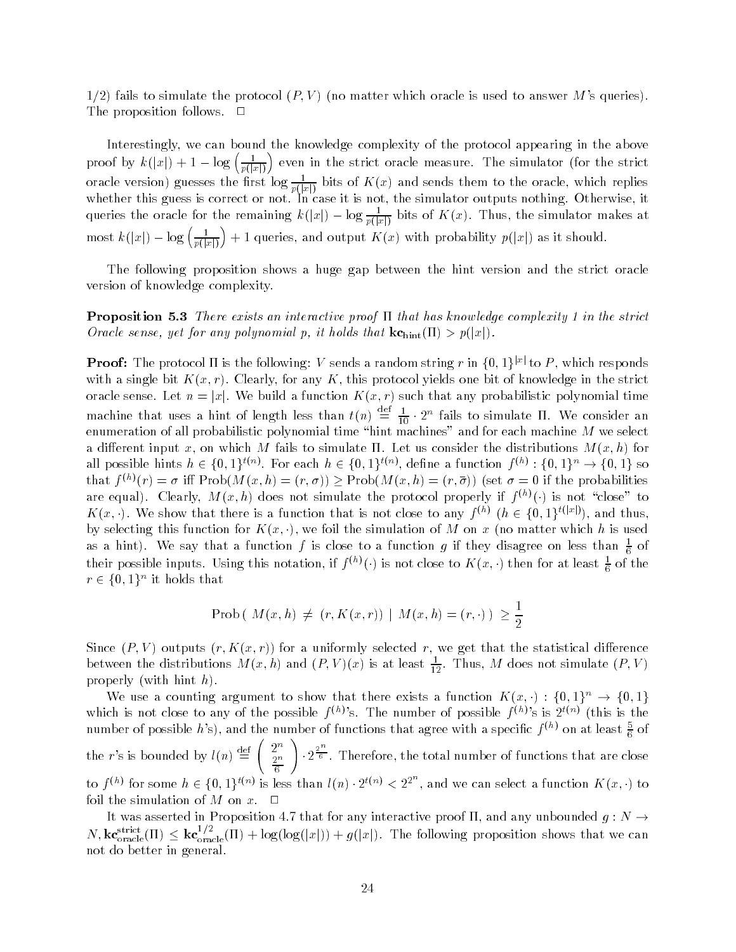fails to simulate the protocol P V no matter which oracle is used to answer Ms queries The proposition follows.  $\Box$ 

Interestingly we can bound the knowledge complexity of the protocol appearing in the above proof by  $k(|x|) + 1 - \log\left(\frac{1}{p(|x|)}\right)$  eve even in the strict oracle measure The simulator for the strict oracle version) guesses the first log  $\frac{}{p(x)}$  bits of  $K(x)$  and sends them to the oracle, which replies whether this guess is correct or not. In case it is not, the simulator outputs nothing. Otherwise, it queries the oracle for the remaining  $k(|x|) - \log \frac{1}{p(|x|)}$  bits of  $K(x)$ . Thus, the simulator makes at most  $k(|x|) - \log\left(\frac{1}{p(|x|)}\right) + 1$  $j$  as it should be a single K with probability point  $\mathcal{N}$  as it should be a single point of  $\mathcal{N}$  as it should be a single point of  $\mathcal{N}$  and  $\mathcal{N}$  as it should be a single point of  $\mathcal{N}$  and  $\mathcal{N}$  and

The following proposition shows a huge gap between the hint version and the strict oracle version of knowledge complexity

Proposition - There exists an interactive proof that has knowledge complexity in the strict Oracle sense yet for any polynomial p it holds that kchint - p jxj

**Proof:** The protocol  $\Pi$  is the following:  $V$  sends a random string  $r$  in  $\{0,1\}^{|x|}$  to  $P$ , which responds  $\mathbf{A}$  and a single bit K this protocol yields one bit of knowledge in the strict one bit of knowledge in the strict one bit of knowledge in the strict one bit of knowledge in the strict one bit of knowledge in the stri oracle sense Let  $\mathbf{L}$  we build a function  $\mathbf{L}$  and  $\mathbf{L}$  that any probabilistic polynomial time  $\mathbf{L}$ machine that uses a hint of length less than  $t(n) \equiv \frac{1}{10} \cdot 2^n$  fails to simulate II. We consider an enumeration of all probabilistic polynomial time hint machines and for each machine M we select a di-erent input x on which M fails to simulate Let us consider the distributions M x h for an possible nints  $h \in \{0,1\}^{s \times n}$ . For each  $h \in \{0,1\}^{s \times n}$ , denne a function  $f^{\vee n} : \{0,1\}^{s} \to \{0,1\}$  so that  $f^{(n)}(r) = \sigma$  in Prob(M $(x, n) = (r, \sigma)$ ) > Prob(M $(x, n) = (r, \sigma)$ ) (set  $\sigma = 0$  if the probabilities are equal). Clearly,  $M(x, n)$  does not simulate the protocol properly if  $f^{(n)}(\cdot)$  is not close to  $K(x, \cdot)$ . We show that there is a function that is not close to any  $f^{(h)}$   $(h \in \{0, 1\}^{t(|x|)})$ , and thus, by selecting this function for K x we foil the simulation of M on x no matter which h is used as a hint). We say that a function f is close to a function g if they disagree on less than  $\frac{1}{6}$  of 6 - T their possible inputs. Using this notation, if  $f^{(n)}(\cdot)$  is not close to  $K(x, \cdot)$  then for at least  $\frac{1}{6}$  of the  $r \in \{0,1\}^{\sim}$  it holds that

$$
\text{Prob}\left(\ M(x,h) \neq \ (r,K(x,r)) \ | \ M(x,h)=(r,\cdot) \ \right) \ \geq \frac{1}{2}
$$

r for a uniformly selected results in the statistical distribution of the statistical distribution of the statistic between the distributions  $M(x, h)$  and  $(P, V)(x)$  is at least  $\frac{2}{12}$ . Thus, M does not simulate  $(P, V)$ with higher and higher the contract of the contract of the contract of the contract of the contract of the contract of the contract of the contract of the contract of the contract of the contract of the contract of the con

We use a counting argument to show that there exists a function  $K(x, \cdot): \{0, 1\} \longrightarrow \{0, 1\}$ which is not close to any of the possible  $I^{\vee\vee}$  s. The number of possible  $I^{\vee\vee}$  is a  $2^{\vee\vee\vee}$  (this is the number of possible  $h$  s), and the number of functions that agree with a specific  $f^{(n)}$  on at least  $\frac{2}{6}$  of the r's is bounded by  $l(n) \equiv 1$ ,  $\sum_{n=1}^{\infty}$  $\left(2^n\right)$ 2 T  $\sim$   $\sim$  $\mathbf{v}$  and  $\mathbf{v}$  and  $\mathbf{v}$  and  $\mathbf{v}$  $\frac{2^{n}}{6}$ . Therefore, the total number of functions that are close to  $f^{(n)}$  for some  $h \in \{0,1\}^{\tau(n)}$  is less than  $l(n) \cdot 2^{\tau(n)} < 2^{2^n}$ , and we can select a function  $K(x, \cdot)$  to foil the simulation of M on  $x$ .  $\Box$ 

It was asserted in Proposition 4.7 that for any interactive proof  $\Pi$ , and any unbounded  $q : N \to$  $N,$   $k$ **c** $\text{c}_{\text{pracle}}^{s}$ (11)  $\leq k$ **c** $\text{c}_{\text{pracle}}^{s}$ (II)  $+$  log(log(|x|))  $+$  g(|x|). The following proposition shows that we can not do better in general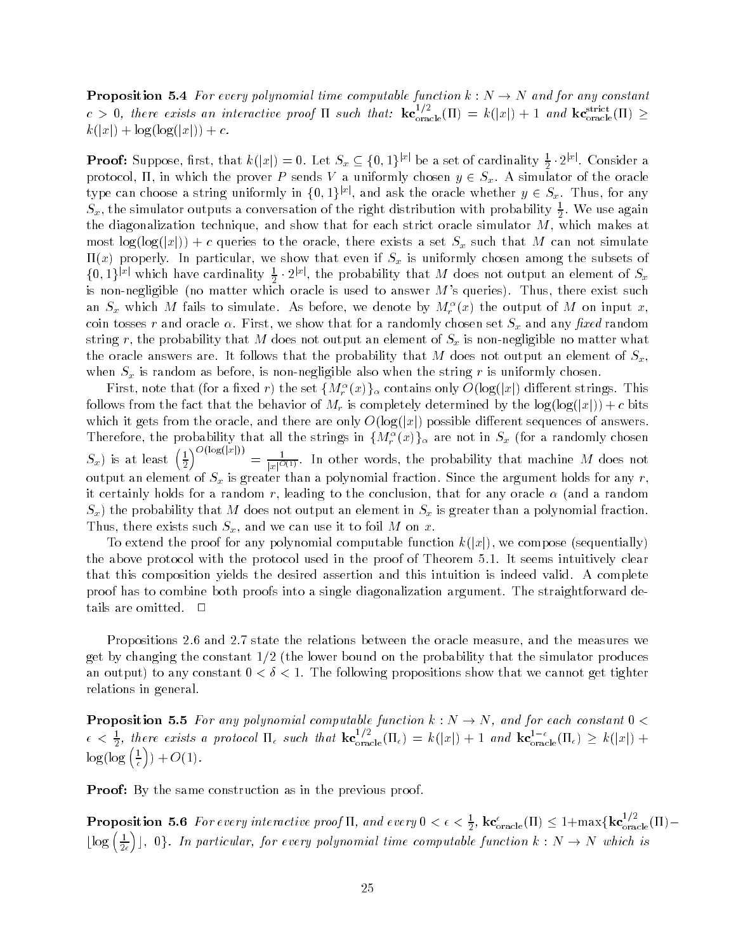**Proposition 5.4** For every polynomial time computable function  $k : N \to N$  and for any constant  $c > 0$ , there exists an interactive proof II such that:  $k\mathbf{c}_{\text{oracle}}^{s}(\Pi) = k(|x|) + 1$  and  $k\mathbf{c}_{\text{oracle}}^{s}(\Pi) \ge$ k jxj log log jxj c

**Proof:** Suppose, first, that  $k(|x|) = 0$ . Let  $S_x \subseteq \{0,1\}^{|x|}$  be a set of cardinality  $\frac{1}{2} \cdot 2^{|x|}$ . Consider a protocol in which the proven proved  $\mathcal{Y}$  and  $\mathcal{Y}$  and oracle oracle oracle oracle oracle oracle oracle oracle oracle oracle oracle oracle oracle oracle oracle oracle oracle oracle oracle oracle oracle oracle oracl type can choose a string uniformly in  $\{0,1\}^{|x|}$ , and ask the oracle whether  $y \in S_x$ . Thus, for any  $S_x,$  the simulator outputs a conversation of the right distribution with probability  $\frac{1}{2}.$  We use again the diagonalization technique, and show that for each strict oracle simulator  $M$ , which makes at most logical formulate to the oracle to the oracle the oracle the oracle that  $\eta$  is such that  $\eta$  is such that  $\eta$  $x \mapsto \alpha$  properly In particular we show that even if  $\alpha$  is uniformly chosen among the subsets of  $\alpha$  $\{0,1\}^{|x|}$  which have cardinality  $\frac{1}{2} \cdot 2^{|x|}$ , the probability that M does not output an element of  $S_x$  is non negligible no matter which oracle is used to answer Ms queries Thus there exist such an  $S_x$  which  $M$  fails to simulate. As before, we denote by  $M_r^-(x)$  the output of  $M$  on input  $x$ , coin tosses r and oracle  $\alpha$ . First, we show that for a randomly chosen set  $S_x$  and any fixed random string r, the probability that M does not output an element of  $S_x$  is non-negligible no matter what the oracle answers are. It follows that the probability that M does not output an element of  $S_x$ , when  $S_x$  is random as before, is non-negligible also when the string r is uniformly chosen.

First, note that (for a fixed  $r$ ) the set  $\{M_r^-(x)\}_\alpha$  contains only  $O(\log(|x|)$  different strings. This follows from the behavior of Mr is completely determined by the log  $j$  completely determined by the log  $j$ which it grade from the oracle and there are only O jargjacity possible are only only as well as a second Therefore, the probability that all the strings in  $\{M_r(\mathcal{X})\}_\alpha$  are not in  $S_x$  (for a randomly chosen  $S_x$ ) is at least  $\left(\frac{1}{2}\right)^{O(\log(\vert x \vert))} = \frac{1}{\vert x \vert^{O(1)}}$ . In other words,  $\sqrt{O(\log(|x|))}$  $\psi=\frac{1}{|x|^{O(1)}}.$  In other words, the probability that machine M does not output an element of Sx is greater than a polynomial fraction Since the argument holds for any r it certainly holds for a random r leading to the conclusion that for any oracle and a random  $S_x$ ) the probability that M does not output an element in  $S_x$  is greater than a polynomial fraction. Thus, there exists such  $S_x$ , and we can use it to foil M on x.

To extend the proof for any polynomial computable function k jxj we compose sequentially the above protocol with the protocol used in the proof of Theorem 5.1. It seems intuitively clear that this composition yields the desired assertion and this intuition is indeed valid. A complete proof has to combine both proofs into a single diagonalization argument The straightforward de tails are omitted.  $\Box$ 

Propositions 2.6 and 2.7 state the relations between the oracle measure, and the measures we  $t$  by changing the constant on the probability that the probability that the probability that the simulator produces  $t$ an output) to any constant  $0 < \delta < 1$ . The following propositions show that we cannot get tighter relations in general

Proposition For any polynomial computable function k N N and for each constant  $\epsilon < \frac{1}{2}$ , there exists a protocol  $\Pi_{\epsilon}$  such that  $\mathbf{kc}_{\text{oracle}}^{1/2}(\Pi_{\epsilon}) = k(|x|) + 1$  and  $\mathbf{kc}_{\text{oracle}}^{1-\epsilon}(\Pi_{\epsilon}) \geq k(|x|) + 1$  $\log(\log(\frac{1}{\epsilon}))+6$  $\sim$   $\sim$   $\sim$   $\sim$   $\sim$   $\sim$ 

Proof By the same construction as in the previous proof

**Proposition 5.6** For every interactive proof  $\Pi$ , and every  $0 < \epsilon < \frac{1}{2}$ ,  $k\mathbf{c}_{\text{oracle}}(H) \leq 1 + \max\{k\mathbf{c}_{\text{oracle}}^{2}(H) - k\}$  $\lfloor \log \left( \frac{1}{2\epsilon} \right) \rfloor$ , 0 care computable for the properties time computable function function  $\alpha$  . The matrice  $\alpha$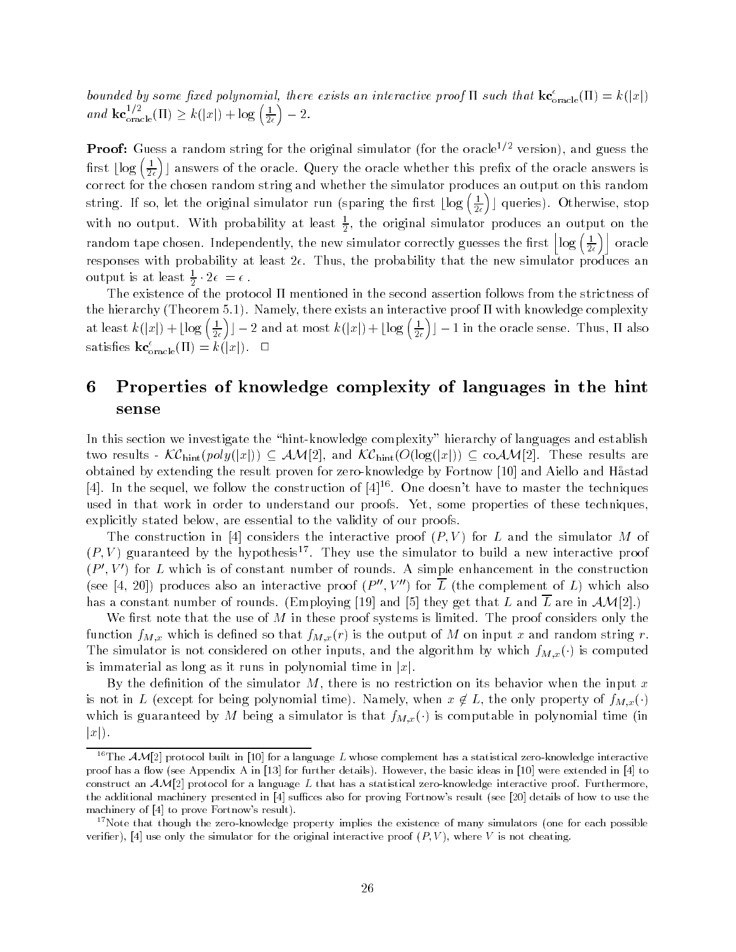bounded by some fixed polynomial, there exists an interactive proof  $\Pi$  such that  $\kappa c_{\mathrm{oracle}}(\Pi) = \kappa(|x|)$ and  $\operatorname{kc}_{\text{oracle}}^{1/2}(\Pi) \ge k(|x|) + \log \left(\frac{1}{2\epsilon}\right) - 2$ 

**Proof:** Guess a random string for the original simulator (for the oracle<sup>-)</sup> = version), and guess the first  $\lfloor \log \left( \frac{1}{2 \epsilon} \right) \rfloor$  an <sup>c</sup> answers of the oracle Query the oracle whether this prex of the oracle answers is correct for the chosen random string and whether the simulator produces an output on this random string. If so, let the original simulator run (sparing the first  $\lfloor \log\left(\frac{1}{2\epsilon}\right)\rfloor$  qu c queries of the contract of the contract of the contract of the contract of the contract of the contract of the contract of the contract of the contract of the contract of the contract of the contract of the contract of t with no output. With probability at least  $\frac{1}{6}$ , the original simulator produces an output on the random tape chosen. Independently, the new simulator correctly guesses the first  $\left|\log\left(\frac{1}{2\epsilon}\right)\right|$  ora responses with probability at least  $2\epsilon$ . Thus, the probability that the new simulator produces an output is at least  $\frac{1}{6} \cdot 2\epsilon = \epsilon$ . -

The existence of the protocol mentioned in the second assertion follows from the strictness of the hierarchy Theorem 
 Namely there exists an interactive proof with knowledge complexity at least  $k(|x|) + \lfloor \log\left(\frac{1}{2\epsilon}\right) \rfloor - 2$  $\lfloor -2 \text{ and at most } k(|x|) + \lfloor \log \left( \frac{1}{2\epsilon} \right) \rfloor - 1$ c - in the oracle sense Thus also the oracle sense Thus also the oracle sense Thus also the oracle sense Th satisfies  $\kappa c_{\text{oracle}}(H) = \kappa(|x|)$ .  $\Box$ 

### Properties of knowledge complexity of languages in the hint 6 sense

In this section we investigate the "hint-knowledge complexity" hierarchy of languages and establish in a coamic and we have results and  $\alpha$  is a set of  $\alpha$  and  $\alpha$  are completed to  $\alpha$  . The set of  $\alpha$ obtained by extending the result proven for zero-knowledge by Fortnow [10] and Aiello and Håstad [4]. In the sequel, we follow the construction of  $[4]^{16}$ . One doesn't have to master the techniques used in that work in order to understand our proofs. Yet, some properties of these techniques. explicitly stated below, are essential to the validity of our proofs.

The construction in considers the interactive proof P V for L and the simulator M of  $(P, V)$  guaranteed by the hypothesis'. They use the simulator to build a new interactive proof  $(P',V')$  for L which is of constant number of rounds. A simple enhancement in the construction (see [4, 20]) produces also an interactive proof  $(P'', V'')$  for for L the complement of L which also has a constant number of rounds Employing and 
 they get that L and <sup>L</sup> are in AM

We first note that the use of M in these proof systems is limited. The proof considers only the  $f_{M,i}$  is denote that for input  $f_{M,i}$  on input  $\alpha$  and  $r$  and random string random string random string random string random string random string random string random string random string random string random string The simulator is not considered on other inputs  $\mu$  and the algorithm by which  $\int M \mu$  ( ) is computed to is immaterial as long as it runs in polynomial time in  $|x|$ .

By the definition of the simulator  $M$ , there is no restriction on its behavior when the input  $x$ is not in Letting the  $\mathcal{E}$  for  $\mathcal{E}$  and  $\mathcal{E}$  and  $\mathcal{E}$  and  $\mathcal{E}$ which is guaranteed by the stated by simulation is that fM  $\eta$  ( ) is that function in polynomial time  $\eta$  in  $|x|$ .

<sup>&</sup>lt;sup>16</sup>The  $AM[2]$  protocol built in [10] for a language L whose complement has a statistical zero-knowledge interactive proof has a ow see Appendix A in for further details However- the basic ideas in  were extended in to construct an  $AM[2]$  protocol for a language L that has a statistical zero-knowledge interactive proof. Furthermore, the additional machinery presented in [4] suffices also for proving Fortnow's result (see [20] details of how to use the machinery of  $[4]$  to prove Fortnow's result).

<sup>&</sup>lt;sup>17</sup>Note that though the zero-knowledge property implies the existence of many simulators (one for each possible  $\alpha$  is the simulator for the simulation for the original interactive proof  $\{x, t, t, t, w\}$  is not cheating.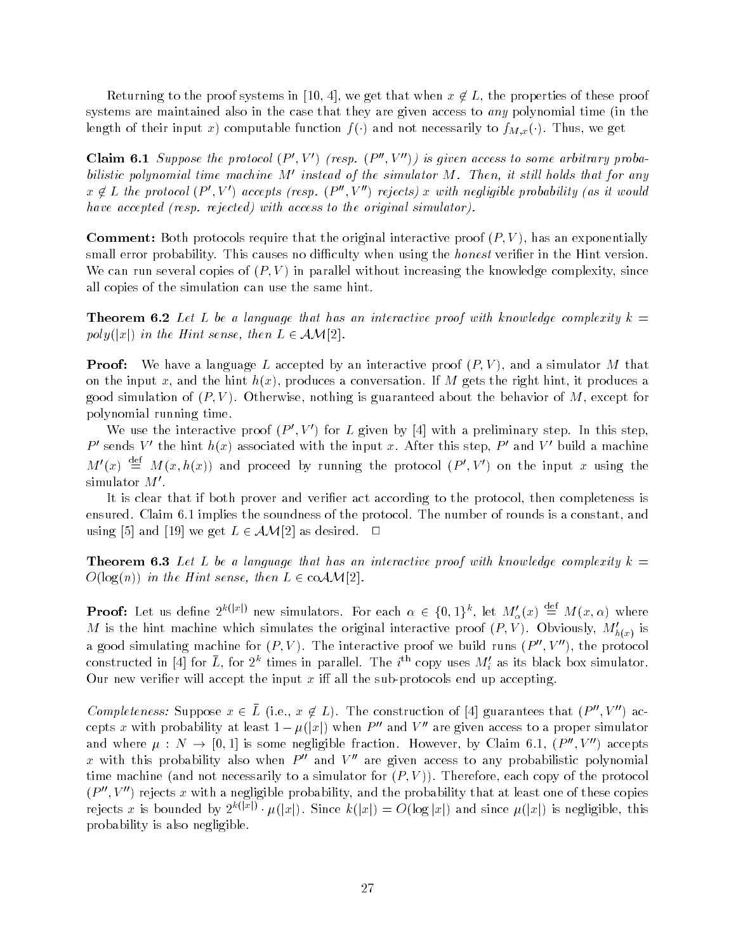Returning to the proof systems in we get that when x L the properties of these proof systems are maintained also in the case that they are given access to any polynomial time in the length of their input  $\alpha$  computation function  $\int \int \int \frac{1}{\sqrt{2\pi}} \, \mathrm{d} x \, \mathrm{d} x \, \mathrm{d} x \, \mathrm{d} x \, \mathrm{d} x \, \mathrm{d} x \, \mathrm{d} x \, \mathrm{d} x$ 

Claim 6.1 Suppose the protocol  $(P', V')$  (resp.  $(P'', V'')$ ) is given access to some arbitrary proba bilistic polynomial time machine M' instead of the simulator M. Then, it still holds that for any  $x \notin L$  the protocol  $(P', V')$  accepts (resp.  $(P'', V'')$  r rejects x with negligible probability as it would have accepted (resp. rejected) with access to the original simulator).

requirement in the protocols require that the original interactive proof (requirement and the protocols) small error probability. This causes no difficulty when using the *honest* verifier in the Hint version. We can run several copies of P V in parallel without increasing the knowledge complexity since all copies of the simulation can use the same hint

**Theorem 6.2** Let L be a language that has an interactive proof with knowledge complexity  $k =$ poly jxj in the Hint sense then L AM

P Proof and the most proof of the simulation of the simulator and the simulation of the simulation of the simulation of the simulation of the simulation of the simulation of the simulation of the simulation of the simulati on the input x and the hint h x produces a conversation If M gets the right hint it produces a good simulation of P V Otherwise nothing is guaranteed about the behavior of M except for polynomial running time

We use the interactive proof  $(P', V')$  for L given by [4] with a preliminary step. In this step, P' sends V' the hint  $h(x)$  associated with the input x. After this step, P' and V' build a machine  $M'(x) \stackrel{\text{def}}{=} M(x, h(x))$  and proceed by running the protocol  $(P', V')$  on the input x using the simulator  $M'.$ 

It is clear that if both prover and verifier act according to the protocol, then completeness is ensured. Claim 6.1 implies the soundness of the protocol. The number of rounds is a constant, and using [5] and [19] we get  $L \in \mathcal{AM}[2]$  as desired.  $\Box$ 

Theorem - Let L be a language that has an interactive proof with know ledge complexity k O log n in the Hint sense then L coAM

**Proof:** Let us define  $2^{k(|x|)}$  new simulators. For each  $\alpha \in \{0,1\}^k$ , let  $M'_{\alpha}(x) \stackrel{\text{det}}{=} M(x,\alpha)$  where M is the hint machine which simulates the original interactive proof  $(P, V)$ . Obviously,  $M'_{k(s)}$  is  $\cdots$ a good simulating machine for  $(P, V)$ . The interactive proof we build runs  $(P'', V'')$ , t the protocol constructed in [4] for  $\bar{L},$  for  $2^k$  times in parallel. The  $i^{\text{th}}$  copy uses  $M_i'$  as its black box simulator. Our new verier will accept the input x i- all the sub protocols end up accepting

Completeness: Suppose  $x \in \overline{L}$  (i.e.,  $x \notin L$ ). The construction of [4] guarantees that  $(P'', V'')$  a  $\mathbf{a}$ cepts  $x$  with probability at least  $1 - \mu(|x|)$  when  $P''$  and  $V''$  are given access to a proper simulator and where  $\mu : N \to [0,1]$  is some negligible fraction. However, by Claim 6.1,  $(P'', V'')$  accepts x with this probability also when  $P''$  and  $V''$  are given access to any probabilistic polynomial time machine and not necessarily to a simulator for P V Therefore each copy of the protocol  $(P'', V'')$  re rejects x with a negligible probability and the probability that at least one of these copies rejects x is bounded by  $2^{k(|x|)} \cdot \mu(|x|)$ . Since  $k(|x|) = O(\log |x|)$  and since  $\mu(|x|)$  is negligible, this probability is also negligible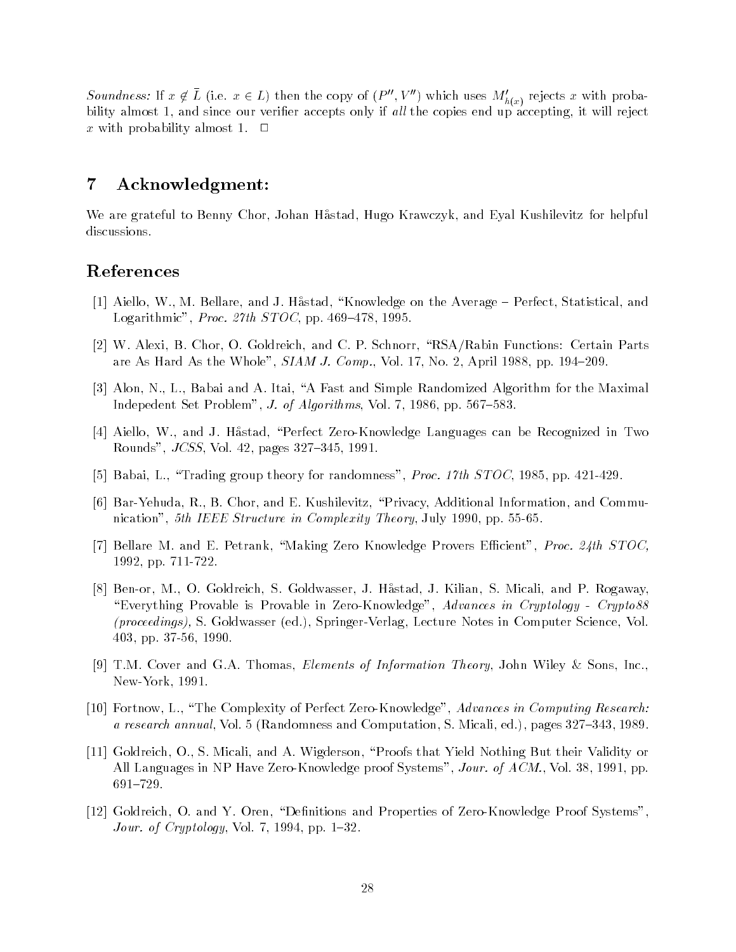Soundness: If  $x \notin \overline{L}$  (i.e.  $x \in L$ ) then the copy of  $(P'', V'')$  which uses  $M'_{h(x)}$  rejects x with probability almost 1, and since our verifier accepts only if all the copies end up accepting, it will reject x with probability almost 1.  $\Box$ 

# Acknowledgment

We are grateful to Benny Chor, Johan Håstad, Hugo Krawczyk, and Eyal Kushilevitz for helpful discussions.

# References

- [1] Aiello, W., M. Bellare, and J. Håstad, "Knowledge on the Average Perfect, Statistical, and Logarithmic", Proc. 27th  $STOC$ , pp. 469–478, 1995.
- [2] W. Alexi, B. Chor, O. Goldreich, and C. P. Schnorr, "RSA/Rabin Functions: Certain Parts are As Hard As the Whole",  $SIAMJ. Comp.$ , Vol. 17, No. 2, April 1988, pp. 194–209.
- [3] Alon, N., L., Babai and A. Itai, "A Fast and Simple Randomized Algorithm for the Maximal Indepedent Set Problem", *J. of Algorithms*, Vol. 7, 1986, pp.  $567-583$
- [4] Aiello, W., and J. Håstad, "Perfect Zero-Knowledge Languages can be Recognized in Two Rounds",  $JCSS$ , Vol. 42, pages 327-345, 1991.
- [5] Babai, L., "Trading group theory for randomness", *Proc. 17th STOC*, 1985, pp.  $421-429$ .
- [6] Bar-Yehuda, R., B. Chor, and E. Kushilevitz, "Privacy, Additional Information, and Communication", 5th IEEE Structure in Complexity Theory, July 1990, pp. 55-65.
- [7] Bellare M. and E. Petrank, "Making Zero Knowledge Provers Efficient", *Proc. 24th STOC*, 1992, pp. 711-722.
- [8] Ben-or, M., O. Goldreich, S. Goldwasser, J. Håstad, J. Kilian, S. Micali, and P. Rogaway "Everything Provable is Provable in Zero-Knowledge", Advances in Cryptology - Crypto88 proceedings S Goldwasser ed Springer Verlag Lecture Notes in Computer Science Vol 403, pp. 37-56, 1990.
- [9] T.M. Cover and G.A. Thomas, Elements of Information Theory, John Wiley & Sons, Inc., New-York, 1991.
- [10] Fortnow, L., "The Complexity of Perfect Zero-Knowledge", Advances in Computing Research: a research annual Volta (computation and computation) s research s Micali ed pages and voltation s
- [11] Goldreich, O., S. Micali, and A. Wigderson, "Proofs that Yield Nothing But their Validity or All Languages in NP Have Zero-Knowledge proof Systems", Jour. of  $ACM$ , Vol. 38, 1991, pp.  $691 - 729.$
- [12] Goldreich, O. and Y. Oren, "Definitions and Properties of Zero-Knowledge Proof Systems", Jour. of Cryptology, Vol. 7, 1994, pp.  $1-32$ .